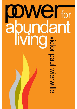# **ODWelfor<br>
abundant<br>
Ming<br>
and a manufacturer**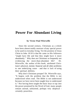### **Power For Abundant Living**

### **by Victor Paul Wierwille**

Since the second century, Christians as a whole have been almost totally unaware of any special power to be used in everyday living. Yet the promise of Jesus Christ in John 10:10 is that He came so His followers "might have life and that they might have it more abundantly." Why then are Christians so frequently not evidencing the more-than-abundant life? Dr. Wierwille, the author of this book, attributed Christians's physical, mental, financial and all other problems to one underlying cause - and that is lack of using their spiritual abilities.

Why don't Christians prosper? Dr. Wierwille says, "It begins with the problem that the Bible is not understood when read. The Bible is not understood because we have never been taught how to understand it." Not having been taught the basic keys to tap into the power promised by the Word of God, many people remain unread, unlearned, perhaps very skeptical certainly powerless.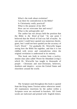What's the truth about evolution? Can there be contradiction in the Bible? Is Christianity really practical? What is the purpose of my life? How can we overcome fear and worry? What is the unforgivable sin?

The author has not always held the position that the Bible is *the Word of God.* "At one point I believed that the Word of God was full of myths. At one point I could have quoted you numerous theologians, but I could not have quoted you the accuracy of God's Word." Yet gradually Dr. Wierwille began seeing how the Bible fits together, and that it is not riddled with errors and contradiction when the original revelation is understood in its entirety.

This book sets forth in written form a twelvesession class (also called "Power for Abundant Living") which Dr. Wierwille has taught to thousands of people - Christians and non-Christians, believers, doubters and skeptics - across the United States and elsewhere around the world.

The Scripture used throughout this book is quoted from the King James Version unless otherwise noted. All explanatory insertions by the author within a Scripture verse are enclosed in brackets. All Greek words are italicized and printed with English letters.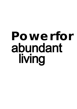# **Powe r for abundant living**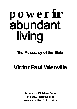# **powe r for abundant living**

## **The Accuracy of the Bible**

# **Victor Paul Wierwille**

**American Christian Press The Way International New Knoxville, Ohio 45871**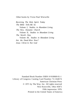Other books by Victor Paul Wierwille

*Receiving The Holy Spirit Today The Bible Tells Me So Volume I, Studies in Abundant Living The New, Dynamic Church Volume II, Studies in Abundant Living The Word's Way Volume III, Studies in Abundant Living Are the Dead Alive Now? Jesus Christ Is Not God* 

Standard Book Number ISBN 0-910068-01-1 Library of Congress Catalog Card Number 72-164674 American Christian Press © 1971 by The Way, Inc. All rights reserved New Knoxville, Ohio 45871 Fifth impression 1976 Printed in the United States of America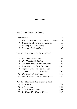### **CONTENTS**

### Part I The Power of Believing

| Introduction |  |                                           |  |  |  |            |
|--------------|--|-------------------------------------------|--|--|--|------------|
|              |  | 1. The Fountain of Living Waters          |  |  |  | $\sqrt{5}$ |
|              |  | 2. Availability, Receivability, Usability |  |  |  | 11         |
|              |  | 3. Believing Equals Receiving             |  |  |  | 25         |
|              |  | 4. Believing: Faith and Fear              |  |  |  | 37         |

### Part II The Bible is the Word of God

| 5. | The God-breathed Word                    | 65  |
|----|------------------------------------------|-----|
|    | 6. That Man May Be Perfect               | 81  |
|    | 7. Man Shall Not Live By Bread Alone     | 93  |
| 8. | In the Beginning Was The Word            | 101 |
|    | 9. Mightily Grew the Word of God         |     |
|    | Prevailed<br>and.                        | 107 |
|    | 10. The Rightly-divided Word             | 115 |
|    | 11. The Translations of the Word of God  | 127 |
|    | Part III How the Bible Interprets Itself |     |
|    | 12. In Its Verse                         | 145 |
|    | 13. In Its Context                       | 183 |
|    | 14. In Its Previous Usage                | 199 |
|    | 75. To Whom The Word is Written          | 207 |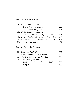### Part IV The New Birth

| 16. Body, Soul, Spirit-              |     |
|--------------------------------------|-----|
| Formed, Made, Created                | 229 |
| 17. "Thou Shalt Surely Die"          | 249 |
| 18. Faith Comes by Hearing           |     |
| <i>the</i> Word of<br>God            | 269 |
| 19. Born Again of Incorruptible Seed | 289 |
| 20. Remission and Forgiveness of Sin | 305 |
| 21. The Unforgivable Sin             | 317 |

### Part V Power in Christ Jesus

| 22. Renewing One's Mind               | 327 |     |        |     |
|---------------------------------------|-----|-----|--------|-----|
| 23. Knowing One's Sonship Rights      |     |     |        |     |
| 24. The Five Ministries in the Church |     |     |        |     |
| 25. The Holy Spirit and               |     |     |        |     |
| Fruit                                 | of  | the | Spirit | 357 |
| Epilogue                              |     |     |        | 365 |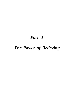# *Part I*

# *The Power of Believing*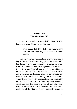### **Introduction The Abundant Life**

Jesus' proclamation as recorded in John 10:10 is the foundational Scripture for this book.

> I am come that they [believers] might have life, and that they might have *it* more abundantly.

This verse literally changed my life. My wife and I began in the Christian ministry, plodding ahead with the things of God; but somehow we lacked an abundant life. Then one time I was especially alerted when I read from the Word of God that Jesus said He had come to give us life more abundant. I was startled into awareness. As I looked about me at communities where I had served and among the ministers with whom I had worked, the abundant life was frequently not evident. In contrast to these Christian people, I could see that the secular world of non-Christians were manifesting a more abundant life than were members of the Church. Thus I earnestly began to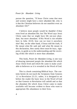### *Power for Abundant Living*

pursue the question, "If Jesus Christ came that men and women might have a *more abundant life,* why is it that the Christian believers do not manifest even an abundant life?"

I believe most people would be thankful if they even lived an abundant life; but The Word says Jesus Christ came that we might have life not just abundant, but more abundant. If His Word is not reliable here in John 10:10, how can we trust it anywhere else? But, on the other hand, if Jesus told the truth, if He meant what He said and said what He meant in this declaration, then surely there must be keys, signposts, to guide us to the understanding and the receiving of this life which is more than abundant.

This book, *Power for Abundant Living,* is one way of showing interested people the abundant life which Jesus Christ lived and which He came to make available to believers as it is revealed in the Word of God.

This is a book containing Biblical keys. The contents herein do not teach the Scriptures from Genesis 1:1 to Revelation 22:21; rather, it is designed to set before the reader the basic keys in the Word of God so that Genesis to Revelation will unfold and so that the abundant life which Jesus Christ came to make available will become evident to those who want to appropriate His abundance to their lives.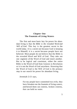### **Chapter One The Fountain of Living Waters**

The first and most basic key for power for abundant living is that *the Bible is the revealed Word and Will of God.* This key is the greatest secret in the world today. It is a secret not because God is keeping it to Himself; it is a secret because people have not believed. Most people do not believe that the Bible is the revealed Word and Will of God. They take out one segment of the Word of God and insert another. But to be logical and consistent, either the entire Bible is the Word of God from Genesis to Revelation or it is not the Word of God anywhere. Knowing that the Word of God is the Will of God is the primary step in our search for power for abundant living.

Jeremiah 2:13 says,

For my people have committed two evils; they have forsaken me the fountain of living waters, *and* hewed them out cisterns, broken cisterns, that can hold no water.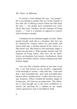To whom is God talking? He says, "my people." He is not talking to people who are on the outside of His fold; He is talking to those within the fold when He says, "... my people have committed two evils; [first] they have forsaken me the fountain of living waters ..." God is a fountain as opposed to cisterns which belong to people.

A fountain has an unlimited supply of water. When people forsake God who is a fountain, they hew out for themselves cisterns which are man-made and which hold only a limited amount If the cistern is a fifty-barrel one, fifty barrels is the maximum supply a person can get from it. When people forsake God, the fountain of living waters, they hew out for themselves, not fountains, but cisterns. Furthermore, those cisterns are broken cisterns; always leaking away their limited supply.

I too was like a broken cistern at one time in my life. I too had hewed out for myself a supposedly valid theological system. I had read this, I had read that, I had concluded this, and I had concluded that; but just when I needed power, I didn't have the necessary resources. When I needed the limitless supply of living water, all I had was an empty hole. This dilemma is what brought me to the years of Biblical research; the questing for a solution to my empty cistern spurred my start in the Biblical field.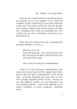Have you ever asked yourself or considered what is the greatest sin you can commit? If you asked the residents of your community do you know what they would say? One person would say that the greatest sin is murder; someone else would say that it is adultery; somebody else would say something else. You would come up with a multiplicity of answers as to the greatest sin.

What does the Word of God say concerning this question? Matthew 22 tells us.

Matthew 22:37,38:

Jesus said unto him, Thou shalt love the Lord thy God with all thy heart, and with all thy soul, and with all thy mind.

This is the first and great commandment.

If that is the first and great commandment, then what is the first and great sin? By simple logic breaking the first and great commandment of not loving God - of loving something else more than we love God, putting something ahead of God - hewing out our own religious systems, our own ideologies, our own thinking patterns - rather than adhering to the divine revelation of God's wonderful, matchless Word.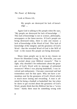Look at Hosea 4:6,

My people are destroyed for lack of knowledge ....

Again God is talking to His people when He says, "My people are destroyed for lack of knowledge ..." This lack of knowledge is not in science, philosophy, newspapers or the latest movies. If God's people are being destroyed today, there is only one reason: a lack of knowledge of the Word of God. This lack of knowledge of the integrity and the greatness of God's Word - that the revealed Word of God is the Will of God - is the reason His people are being destroyed.

Many times people say to me in my classes on Power for Abundant Living, "Dr. Wierwille, you sure get excited about your Biblical research." That is right; why shouldn't I be enthusiastic about the greatness of God's Word with its message of unlimited resources? When I was playing basketball, I was involved and enthusiastic. I became concerned and had tremendous zeal for that sport. Why not have a tremendous zeal for the greatness of God's Word which is much more lasting and rewarding. A man is admired for being a football or basketball fan; but when he dares to get excited about the greatness of God's Word, people think that this Biblical fan has a "screw loose." Surely there must be something wrong with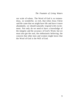our scale of values. The Word of God is so tremendous, so wonderful, so rich, that when Jesus Christ said He came that we might have life and have it more abundantly, we should naturally respond with excitement. Not only do we need to have a knowledge of the integrity and the accuracy of God's Word, but we must also get the zeal, the enthusiastic believing, the concern that other men and women might know that the Word of God is the Will of God.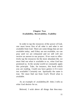### **Chapter Two Availability, Receivability, Usability**

1

In order to tap the resources of the power of God, one must know first of all *what is* and *what is not*  available from God. There are some things that are not available today; and if they are not available, we can pray until we are exhausted and we still will not receive an answer to our prayers. If we want to effectively tap the resources for the more abundant life, we must find out what is available to us, what God has promised us. In the secular world we constantly apply this principle. Take, for instance, this book which you are reading. Could you have gotten it if it were not available? Certainly not. Spiritually the same is true. We must find out from God's Word what is available.

As an example of availability,III John 2 tells us what God desires for us.

Beloved, I wish above all things that thou may-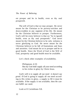est prosper and be in health, even as thy soul prospereth.

The will of God is that we may prosper. He never meant for the Christian to be poverty-stricken and down-trodden in any segment of his life. He meant for the Christian believer to prosper. Furthermore, God's will for every believer is that we "be in [good] health, even as thy soul prospereth." God never meant for the Christian believer to be sick; sickness is never glorifying to God. He never meant for the Christian believer to be full of frustrations and fears and anxieties. God meant for us to prosper and be in good health. Since the Word of God is the Will of God, prosperity and good health must be available.

Let's check other examples of availability.

Philippians 4:19: But my God shall supply all your need according to his riches in glory by Christ Jesus.

God's will is to supply all our *need -* it doesn't say *greed.* If God is going to supply all our need according to His riches in glory, a supply to fill it must be available. If the supply is not available, then He cannot fulfill our need.

Look at II Corinthians 9:8.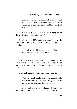And God *is* able to make all grace abound toward you; that ye, always having all sufficiency in all things, may abound to every good work.

How are we going to have all sufficiency in all things if it is not accessible to us?

Check Romans 8:37, another wonderful record in God's Word telling us some of the things that must be available.

> ... in all these things we are more than conquerors through him that loved us.

If we are going to be more than conquerors in every situation, it must be possible. How could I be more than a conqueror if the power were not available?

Read Ephesians 3, beginning with verse 16.

That he [God] would grant you, according to the riches of his glory, to be strengthened with might by his Spirit in the inner man.

How am I going to be strengthened with might by His Spirit in the inner man if it is not possible?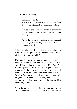Ephesians 3:17-19:

That Christ may dwell in your hearts by faith; that ye, being rooted and grounded in love,

May be able to comprehend with all saints what is the breadth, and length, and depth, and height;

And to know the love of Christ, which passeth knowledge, that ye might be filled with all the fulness of God.

"That ye might be filled with all the fulness of God." How am I going to be filled with all the fulness of God if it is not available?

How am I going to be able to apply the principles of the Word of God and find out what God wants me to do if I do not know the promises in His Word? The first thing that we must find, in our quest to tap the resources for the more abundant life, is what is available. There are hundreds of different promises in the Word of God that will enable us to prosper and to be in good health. One cannot utilize, one cannot operate, any more than those promises he knows. How many do you know?

There is only one place where we can possibly go to find out what God has available to us and for us: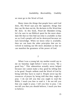we must go to the Word of God.

Many times the things that people have said God does, His Word says just the opposite; things that they say He does not do, He declares in His Word that He does. In this book, *Power for Abundant Living,*  let's be sure in our Biblical quest for the more abundant life that we first find out what is available so that we as God's people will not be destroyed because we lack knowledge. When we know what is available, then we can learn the other principles that are involved in making our life more abundant so that we can manifest the greatness of the power of God.

 $\mathfrak{D}$ 

When I was a young lad, my mother would say to me on Saturday night before I went to town, "Be a good boy." This admonition actually never helped because one cannot make a boy good by telling him to be good. People seldom read the Word of God by being told they have to read it- People never tap the resources of prayer by being told that they ought to pray. I do not tell you that you ought to read the Bible; I teach you *how* to read it. I do not tell you that you ought to pray; I tell you *how* to pray. I do not tell you that you should believe; I teach you *how*  to believe.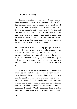### *The Power of Believing*

It is important that we know *how.* Since birth, we have been taught how to receive material things. If we had not been taught how to receive a material object, this book could be available, but we would not know how to go about taking or receiving it. So it is with the Word of God. Spiritual things may be received on the same basis as we receive this book in the natural or material realm. In this book, not only do we look for what is available from God, but we also discover how to receive that which is available.

For many years I moved among groups in which I constantly heard people preaching sin, condemnation and hellfire, and other negative subjects. These wellmeaning ministers were not telling people how to get rid of sin, they were just saying that it was wrong. To tell someone that something is wrong does not help him to overcome it. I learned this lesson the hard way.

In the town of my second congregation lived a man who was an alcoholic. For about two years many of us had prayed that this man would come to church so that he could hear the sermon which I had prepared on the abuses of alcohol. Finally one Sunday morning when I least expected him, he came and sat in the last pew. As I walked to the pulpit having just noticed his presence, I thought, "Well, goodness, here he is this morning." I put aside that morning's sermon and I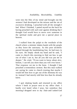went into the files of my mind and brought out the sermon I had developed on the misuse and the sin of excessive drinking. I preached with all the strength I had. When I finished, I patted myself on the back for having preached with such zeal against drinking that I thought God would have to move over someone in the spiritual realm and give me a special place in heaven.

I walked from the pulpit to the vestibule of the church where a minister shakes hands with the people as they leave the sanctuary. As this poor alcoholic passed through the handshaking line, he had tears in his eyes. He limply shook my hand and he said, "I came to church this morning to find out *how* to get out of what I am in, but all you did was put me in deeper." He cried, "If you want to know about alcoholism, I can tell you more than you will ever know." That response cut me to the bone. I thought I had preached a tremendous sermon. But this man walked out saying he came to church trusting that maybe I would tell him how to get out of the dilemma he was in; instead I had merely told him less than he already knew.

I quit shaking hands and returned to my office where I knelt in prayer next to my office chair. I hardly ever kneel when I pray, but somehow that morning I dropped next to my chair and I asked God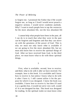### *The Power of Believing*

to forgive me. I promised the Father that if He would forgive me, as long as I lived I would never preach a negative sermon, I would never condemn anybody. Why? I want to teach people how to tap the resources for the more abundant life, not the less abundant life

I cannot help what people have been in the past; all I can do is to teach that what they were in the past can be forgiven and forgotten and that they can move on with the greatness of the power of God. This is why we must not only know *what* is available if we are going to live the more abundant life, but we must also know *how* to receive the spiritual things of God. After we have received from God, in the third place, we must know what to do with these spiritual things.

3

First, what is available; second, how to receive; and third, what to do with it after we have received. For example, here is this book. It is available and I know how to receive it; but unless I know what to do with it after I have it, I still cannot utilize it for the purpose for which it was designed. I knew the book was available; I knew how to receive it; but then if I used it as a garden hoe, it would not serve very well, would it? It is not designed for that. This book was designed for reading. In the spiritual realm we must know what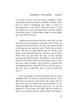to do after we have received what is available. There are people who know what is available and they know how to receive something; but when it comes to knowing what to do with it after they have it, they are entirely at a loss and especially so on the subject of the holy spirit. To find proper usage we must again go to the Word of God.

I believe that the Word of God is the Will of God and that if we are going to know the will of God, we must go back to the Word of God. One cannot listen to the man on the street He says, "Well, this is God's will." He may be right and he may be wrong. You and I can be accurate and sure only if we go to God's Word, No one can know the will of God without knowing the Word of God. The Bible is, the revealed Word of God; this Word of God means what it says and says what it means, and God has a purpose for everything He says, *where* He says it, *why* He says it, *how* He says it, *when* He says it, and *to whom* He says it.

If we are going to tap the resources for the more abundant life, we must not only know what is available, how to receive it, and what to do with it; but we must also get our needs and wants parallel. If our needs are light and our wants are heavy, we are not balanced. If our wants are light and our needs are heavy, we will never get an answer. When we believe,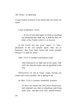### *The Power of Believing*

we get results in prayer if our needs and our wants are equal.

Look at Matthew 18:19.

... If two of you shall agree on earth as touching any thing that they shall ask, it shall be done for them of my Father which is in heaven.

In the Greek text the word "agree" is "symphonized." If the two people agree, they are in harmony; they have their needs and wants parallel because "it shall be done."

John 14:13 is another tremendous truth.

And whatsoever ye shall ask in my name, that will I do, that the Father may be glorified in the Son.

Whatsoever we ask in Jesus' name, having our needs and wants parallel, He is going to do.

In John 15:16 is another wonderful promise.

Ye have not chosen me, but I have chosen you, and ordained you, that ye should go and bring forth fruit, and that your fruit should remain: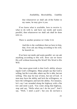that whatsoever ye shall ask of the Father in my name, he may give it you.

If we know what is available, how to receive it, what to do with it, and have our needs and wants parallel, then whatsoever we shall ask shall be done unto us.

There is another promise in I John 5:14.

And this is the confidence that we have in him, that, if we ask any thing according to his will, he heareth us.

If we have our needs and wants parallel, we can ask anything according to His will. How can we know His will without knowing His Word? His Word is His  $W<sub>i11</sub>$ 

One more great truth is that God's ability always equals God's willingness. Many people say that God is willing, but He is not able; others say He is able, but not willing. This may be true of men, but not of God. A man may have the ability and lack the willingness, or have the willingness and lack the ability. For instance, let's say I am stranded along the highway with a flat tire and need a jack. You come along that highway, stop and say, "Hello what can I do for you?" And I say, "Well, I need a jack"; but you do not have a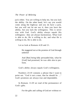jack either. You are willing to help me, but you lack the ability. On the other hand, let's say you would come along the highway and you do have a jack, but you will not let me use it; then you have the ability, but you lack the willingness. This is never true with God. God's ability always equals His willingness - they are always harmonious. What God is able to do, He is willing to do; and what He is willing to do, He is able to do.

Let us look at Romans 4:20 and 21.

He staggered not at the promise of God through unbelief

And [But] being fully persuaded that, what he [God] had promised, he was able also to perform.

God's ability always equals God's willingness.

Numbers 23:19 contains a phrase that I want to point out. "God *is* not a man, that he should lie ..." God's promises are always true and dependable.

In Romans 11:29 we read of the permanence of God's gifts.

For the gifts and calling of God *are* without re-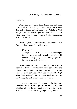pentance.

When God gives something, these gifts and these callings of God are always without repentance; God does not withdraw or take them away. Whatever God has promised that He will perform, that He will honor when men and women believe God's wonderful, matchless Word.

I want to give one more example to illustrate that God's ability equals His willingness.

Hebrews 11:11 :

Through faith also Sara herself received strength to conceive seed, and was delivered of a child when she was past age, because she judged him faithful who had promised.

Sara brought forth this child because of the promises which God had made many years before for "she judged him faithful who had promised." Who had made the promise? God. What God promised He kept when Sara believed. So, too, what God promises in His Word, He will honor when *we* believe.

If we are going to tap the resources for the more abundant life, we have to go to The Word to find out what is available, how to receive, and what to do with it after we have it. We are going to keep our needs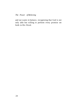and our wants in balance, recognizing that God is not only able but willing to perform every promise set forth in His Word.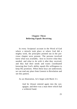# **Chapter Three Believing Equals Receiving**

In every Scriptural account in the Word of God where a miracle took place or where God did a mighty work, the principles pointed out in the previous chapter were present. The persons involved knew what was available, how to receive what they needed, and what to do with it after they received, and they had their needs and wants coordinated knowing that God's ability equals His willingness to keep His promises. When these keys are understood, we can read any place from Genesis to Revelation and see this pattern.

As an illustration, let's begin with Mark 3:1.

And he [Jesus] entered again into the synagogue; and there was a man there which had a withered hand.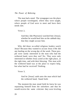The man had a need. The synagogue was the place where people worshipped, where they were taught, where people of God were to meet and have their needs met.

Verse 2,

And they [the Pharisees] watched him [Jesus], whether he would heal him on the sabbath day; that they might accuse him.

Why did these so-called religious leaders watch Jesus? Because they wanted to accuse Jesus if He did any healing on the wrong day of the week. These people were surely interested in the man who had the withered hand, were they not? No. They were only interested in whether Jesus acted at the right place, at the right time, and with their blessing. This man with the withered hand was at the place to expect help, but what had he received? Nothing.

Verse 3,

And he [Jesus] saith unto the man which had the withered hand, Stand forth.

The moment the man stood forth he knew he was separating himself from the onlookers and that he would receive the same criticism they were leveling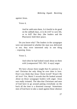against Jesus.

Verse 4,

And he saith unto them, Is it lawful to do good on the sabbath days, or to do evil? to save life, or to kill? But they [the leaders and the Pharisees] held their peace.

Do you know why? The leaders in the synagogue were not interested in whether the man was delivered or not; they were interested only in one thing - exposing Jesus.

Verse *5,* 

And when he had looked round about on them with [compassion? NO. NO. It says] anger

We have always been taught that if a person is a real Christian the only thing he ever does is love. Don't you think that Jesus Christ loved? Wasn't He all love? Yet, Mark 3 records that He looked around about on those synagogue leaders with anger. Jesus was really irritated, The idea that Christians and men of God have to go around patting everybody on the back all the time is a distorted concept. Sometimes men of God have to take a stand against those obstruct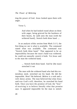ting the power of God. Jesus looked upon them with anger.

Verse 5,

And when he had looked round about on them with anger, being grieved for the hardness of their hearts, he saith unto the man [with the withered hand]. Stretch forth thine hand ....

In an analysis of this section from Mark 3:1-5, the first thing we see is what is available. The command stated what was available. The command was "Stretch forth thine hand." That appeared to be an impossibility because the man's hand was withered; he could not naturally stretch it forth. Yet Jesus said to the man the withered hand,

> ... Stretch forth thine hand. And he [the man] stretched *it* out

The man with the withered hand who had this tremendous need, stretched out his hand. He did the impossible. How? He believed. *Believe* is a verb and a verb shows action. The man believed that what Jesus said was God's will; therefore, he stretched his hand forth. Once you have the promise of God, the "how" of receiving is to believe literally what that promise says. It appeared impossible for the man to stretch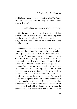out his hand. Yet this man, believing what The Word said or what God said by way of Jesus Christ, stretched it forth.

... and his hand was restored whole as the other.

He did not receive his wholeness first and then stretch forth his hand; it was in the stretching forth that he was made whole. Before one receives anything, he must act as though he already has it and then he receives.

Whenever I read this record from Mark 3, it reminds me of the times I was practicing the principles of the greatness of God's Word in other countries of the world. On one occasion when I was teaching in Jubbulpore, India, a lady who had worked in a mission service for thirty years was delivered by God's power of a number of sicknesses which appeared incurable. This deliverance caused such a stir in the city of Jubbulpore the morning after the miracle occurred, that when my family and I were ready to board the train and leave Jubbulpore, hundreds of people gathered at the railroad depot. This crowd, which was composed mainly of Hindus, wanted me to lay my hands on them individually because they thought that I must have some special power in my hands since I had laid my hands on the woman the previous day. They felt that if I just laid my hands on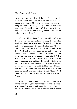them, they too would be delivered. Just before the train on which we were traveling moved out of the depot, a high-caste Hindu, whose paralyzed arm was hanging limp at his side, ran up to our railroad compartment. He said to me, "Will you pray for my arm?" However, he immediately added, "But I do not believe in your Jesus."

What would you have done? I asked him if he believed God would deliver him. He said, "I believe that God will heal me if you pray for me, but I do not believe in your Jesus." So again I asked him, "Do you believe God will set you free?" And he said, "I believe God will heal me, but I do not believe in your Jesus." I laid my hands on him and I prayed that God would set him free in the name of Jesus Christ. When I finished I said to him, "Now lift your arm." He began to put it up and suddenly he thrust up both of his arms. He leaped and shouted with tears streaming down his face. Once he had lifted his arm a little, he realized the miracle. He was totally set free. About then the train began moving and I said, "Praise God; thank God that you were healed in the name of Jesus Christ."

At the next stop a man came to our compartment in the train saying that he was representing his master who wanted to come and meet the man of God. He said his master was so-and-so, a member of Parliament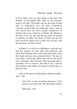in New Delhi, who was also riding on the train. The member of Parliament then came to our compartment to tell Mrs. Wierwille and me that what he had seen in Jubbulpore was the most tremendous Christian event he had ever witnessed - that a man of God would bless all God's people irrespective of whether they were Christian or Hindu. He offered us the keys to his city and said that any time we wanted to minister in India, the doors of India and the Far East would be open to us to teach the accuracy and the greatness of God's Word.

In Mark 3, as well as in Jubbulpore, both persons had the promise of God; both men believed, and when they believed, they acted; and when they acted, their hand and arm were restored whole. The *how* of receiving is believing. When their needs and wants were in balance, they received. After knowing what is available, how to receive, and what to do, a person then believes and finally acts upon his believing in a positive way.

Look at the power of believing as defined in Ephe $\neg$ sians  $1.19$ .

> And what *is* the exceeding greatness of his power to us-ward who [do one thing] believe

Ephesians 3:20: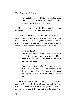Now unto him that is able to do exceeding abundantly above all that we ask or think, according to the power that worketh in us.

He is not only able to do things abundantly, but *exceeding abundantly.* Believe and then receive.

The law of believing is the greatest law in the Word of God. As a matter of fact, it is not only the greatest law in The Word, it is the greatest law in the whole world. Believing works for saint and sinner alike. In Mark 11 this great law of believing is set forth.

Mark 11:12,13:

And on the morrow [this is the last week of Jesus' life here upon earth], when they [Jesus and His twelve apostles] were come from Bethany, he was hungry:

And seeing a fig tree afar off having leaves, he came, if haply [perchance] he might find any thing thereon: and when he came to it, he found nothing but leaves; for the time of figs was not *yet.* 

Jesus went to the fig tree hoping to find something thereon, but "... the time of figs was not *yet. "* Do you mean to tell me that Jesus was ignorant? Would I go to an apple tree if it were not time for apples? Do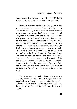you think that Jesus would go to a fig tree if He knew it was not the right season? What is the situation?

There are two trees in the Bible designated as the people's trees: the coconut palm and the fig tree. It was never stealing to take fruit off either of those trees no matter on whose land the tree stood. If I had a fig tree in my front yard, you could walk over and help yourself to the fruit of the tree anytime because it was a people's tree. In the record of Mark 11, Jesus was coming from Bethany to Jerusalem and He was hungry. That does not mean that He was starving to death. He was hungry as we get hungry for a snack. He wanted a little bit to nibble on, so he saw a fig tree and he walked over hoping to find something. The time of figs was not yet and Jesus knew that. However, as the leaves come out on this species of fig tree, there are little buds which are as sweet as candy. It was not time for the mature, ripe figs; but if the tree did not have any buds, Jesus knew that it would not have any figs later on. Now watch the story develop.

"And Jesus answered and said unto it" - Jesus was speaking to the fig tree. Can you imagine the neighboys looking at Jesus, can you imagine the apostles scratching their heads wondering what Jesus was doing talking to that old fig tree? Let's look at the record.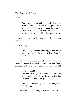Verse 14,

And Jesus answered and said unto it [If you ever want to receive the power of God you have to be specific. He did not beat around the bush; He spoke to the tree.], No man eat fruit of thee hereafter for ever. And his disciples heard *it.* 

Jesus and the apostles returned to Bethany that very day.

Verse 20,

And in the [following] morning, as they passed by, they saw the fig tree dried up from the roots.

The death of a tree is generally noticeable first in the upper leaves, then down the branches, and finally the roots. But this tree died backwards and overnight.

> Mark 11:21,22: And Peter calling to remembrance saith unto him, Master, behold, the fig tree which thou cursedst is withered away.

> And Jesus answering saith unto them, Have faith in God.

The "original" text read, ".. Have the faith of

34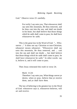God." Observe verse 23 carefully.

For verily I say unto you, That whosoever shall say unto this mountain, Be thou removed, and be thou cast into the sea; and shall not doubt in his heart, but shall believe that those things which he saith shall come to pass; he shall have whatsoever he saith.

This is the great law in the Word of God. "... Whosoever ..." It does not say Christian or non-Christian; *whosoever* means *whosoever.* "Whosoever shall say unto this mountain, Be thou removed, and ... cast into the sea and shall not doubt ... but shall believe that those things which he saith shall come to pass; he shall have whatsoever he saith." In other words: say it, believe it, and it will come to pass.

Then Jesus reiterated this truth in verse 24.

Mark 11:24:

Therefore I say unto you, What things soever ye desire, when ye pray, believe that ye receive them, and ye shall have *them.* 

The law of believing is the greatest law in the Word of God: whosoever says it, whosoever believes, will act and receive.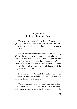### **Chapter Four Believing: Faith and Fear**

There are two types of believing: (1) positive and (2) negative. We either have faith or fear. We must recognize that believing has both a negative and a positive side.

We are what we are today because of our believing. We will be tomorrow where our believing takes us. No one ever rises beyond what he believes and no one can believe more than what he understands. We believe what we believe because of what we have been taught. We think the way we think because of the way we have been led.

Believing is a law. As one believes, he receives. On the negative side, fear is believing; fear is believing in reverse; it produces ill results.

There is basically only one thing that ever defeats the believer, and that is fear. Fear is the believer's only enemy. Fear is sand in the machinery of life.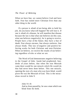When we have fear, we cannot believe God and have faith. Fear has ruined more Christian lives than any other thing in the world.

If a person is afraid of not being able to hold his job, do you know what will happen? He will lose it. If one is afraid of a disease, he will manifest that disease because the law is that what one believes (in this case, what one believes negatively), he is going to receive. People have a fear of the future; they have a fear of death. Fear always encases, fear always enslaves, fear always binds. This law of negative and positive believing works for both Christian and non-Christian. When we believe, we receive the results of our believing regardless of who or what we are.

The Word of God demonstrates negative believing in the Gospel of John. Isaiah had prophesied, hundreds of years before, that when the true Messiah came there would be one miracle which He would do that had never been done before. This one miracle, opening the eyes of a man who was born blind, would prove He was the Messiah of God. This is the miraculous record in John 9.

John  $9.1-8$ And as *Jesus* passed by, he saw a man which was blind from *his* birth.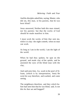And his disciples asked him, saying, Master, who did sin, this man, or his parents, that he was born blind?

Jesus answered, Neither hath this man sinned, nor his parents: but that the works of God should be made manifest in him.

I must work the works of him that sent me, while it is day: the night cometh, when no man can work.

As long as I am in the world, I am the light of the world.

When he had thus spoken, he spat on the ground, and made clay of the spittle, and he anointed the eyes of the blind man with the clay,

And said unto him, Go, wash in the pool of Siloam, (which is by interpretation, Sent) He went his way therefore, and washed, and came seeing.

The neighbours therefore, and they which before had seen him that he was blind, said, Is not this he that sat and begged?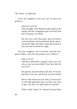Even the neighbors were not sure of what was going on.

John 9:13 and 18:

They brought to the Pharisees [the heads of the temple and the synagogues got involved] him that aforetime was blind.

But the Jews [the Pharisees] did not believe concerning him, that he had been blind, and received his sight, until they called the parents of him that had received his sight.

First the neighbors were involved, then the religious leaders, and next the parents were called in.

> John 9:19-23: And they asked them, saying, Is this your son, who ye say was born blind? how then doth he now see?

> His parents answered them and said, We know that this is our son, and that he was born blind:

> But by what means he now seeth, we know not: or who hath opened his eyes, we know not: he is of age; ask him: he shall speak for himself.

> These *words* spake his parents, because they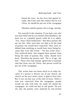feared the Jews: for the Jews had agreed already, that if any man did confess that he was Christ, he should be put out of the synagogue.

Therefore said his parents, He is of age; ask him.

Put yourself in this situation. If you had a son who was born blind and he was healed of his blindness, the least you as a grateful parent could do is to admit, "Yes, Jesus Christ healed him." But these parents did not say this. Why were they not able to be the kind of parents one would have expected? They were inhibited from testifying as would have been fitting because they were full of fear - "for fear of the Jews." Fear enslaved them, fear stopped these parents from being the kind of parents they really should have been. Therefore the parents said, "He is of age; ask him." These Jews had already agreed that if anybody said that Jesus was the Christ, that person would be put out of the synagogue.

This action does not mean much to us today because if a person is thrown out of one church, the church on the next street corner is glad to have him. But it was not that way at the time of Jesus. When a man was ostracized from the synagogue, people would not talk with him; he could not attend the synagogue; he could not buy or sell goods. Do you see why the parents were enslaved by fear of what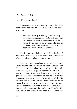would happen to them?

These parents were not the only ones in the Bible who manifested fear. In John 20:19 is a record of the disciples.

> Then the same day at evening [This is the day of the resurrection appearance of Jesus.], being the first *day* of the week, when the doors were shut where the disciples were assembled for fear of the Jews, came Jesus and stood in the midst, and saith unto them, Peace *be* unto you.

The disciples were behind closed doors for fear of the Jews. Fear always puts us behind closed doors; it always binds us; it always enslaves us.

Years ago I knew a minister whose wife had passed away leaving him with seven children. About a year later he married another woman who had five children and they lived happily together. About a block and a half away from them lived a woman who had just one son. The woman with the one son was always frustrated, always nervous, always afraid, while this minister and his wife who had twelve children never seemed to worry, to be upset, or to have the least anxiety about their children. When the woman's child started to kindergarten, the mother would walk with him across the street to the next block where the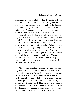kindergarten was located for fear he might get run over by a car. When he was in the first grade she did the same thing, the second grade, and the third grade. One time the boy's mother called on the minister and said, "I don't understand why I am so nervous and upset all the time. I have just one boy to care for; and you have all these children and nothing ever seems to happen to them. You live without worry." He replied, "This is how we live. My wife and I get the children around the breakfast table; that is the only time we get our whole family together. When they are all seated, I do the praying. I pray like this: 'Lord, here we are all together at breakfast. They are all going out to school and other places today, so I leave them all in your protection and care. Thank you. Amen.'" He believed God would answer his prayers and he relinquished them to the Lord's protection. His children flourished.

About a year later the woman's only son was coming home from school early. Mother had not met him at the street corner. As the boy walked out into the street, he was hit by an automobile and killed. I went to the funeral service of that boy, and guess what the minister preached? "God now has another rose petal in heaven." Imagine that! That the God who created the heavens and the earth should want to kill a little boy because God needed another rose petal in heaven. Do you know what killed that little boy? The fear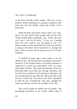in the heart and life of that mother. She was so desperately afraid something was going to happen to her little boy that she finally reaped the results of her believing.

What one fears will surely come to pass. It is a law. Have you ever heard about people who set the time of their death? When somebody says, "Well, this time next year I will not be here," if you are a betting man, bet your money; you are going to win. If a person makes up his mind that this time next year he is going to be dead, God would have to change the laws of the universe for the person not to be accommodated.

A number of years ago a man came to see me about his fear. He told me that according to insurance statistics in the United States a traveling salesman is supposed to wreck his automobile every so many thousands of miles. This man had already driven ten thousand miles more than the average salesman, and his fear of an accident was becoming an obsession. He was losing business day after day and week after week because of this fear. He came to me and I explained to him the law of believing. The man changed his believing and has not had an accident to this day.

The world around us builds fear in people. The psychology prevalent in our society today is fear. If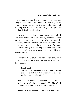you do not use this brand of toothpaste, you are going to have an increased number of cavities; you are afraid of increasing your cavities so you buy this kind of toothpaste. If you do not do this, you are going to get that. It is all based on fear.

Have you ever picked up a newspaper and noticed how positive the stories are? Ninety per cent of what one reads in the newspaper is negative. Automobile accidents, murders, suicides - all negative. Why? Because this is what people have been living. We have been living on negatives so long that when somebody else comes along with a positive diet, we think he must be crazy.

Proverbs 29:25 says "The fear of man bringeth a snare ..." Every time a man has fear he is ensnared, 'he is bound.

Isaiah 8:12:

Say ye not, A confederacy, to all *them to* whom this people shall say, A confederacy; neither fear ye their fear, nor be afraid.

These people were being enslaved as a nation because they were afraid of other people. Yet The Word said, "Neither fear ye their fear, nor be afraid."

There are many examples like this in The Word. I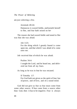am just selecting a few.

Jeremiah 49:24:

Damascus is waxed feeble, *and* turneth herself to flee, and fear hath seized on *her* 

The reason she had waxed feeble and tuned to flee was that she was afraid.

Job  $3.25$ 

For the thing which I greatly feared is come upon me, and that which I was afraid of is come unto me.

Job received that of which he was afraid.

Psalms 34:4:

I sought the Lord, and he heard me, and delivered me from all my fears.

As long as he was in fear he was encased.

II Timothy 1:7: For God hath not given us the spirit of fear; but of power, and of love, and of a sound mind.

God did not give us fear so fear must come from some other source. If fear came from a source other than God, then it has to be negative. Fear is always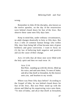wrong.

Remember in John 20 the disciples, also known as the twelve apostles, on the day of the resurrection were behind closed doors for fear of the Jews. But observe these same men fifty days later.

Keep in mind that, under ordinary circumstances, no adult changes drastically in forty or fifty days. But Acts 2 tells of common human beings who within fifty days from being full of fear became men of great boldness and great conviction. I want to focus on (1) the law of believing both negative and positive and (2) the cause of their change.

Acts 2:4 tells that all these men were filled with the holy spirit and then we read verse 14.

### Acts 2:14:

But Peter, standing up with the eleven, lifted up his voice, and said unto them, Ye men of Judea, and all *ye* that dwell at Jerusalem, be this known unto you, and hearken to my words.

Where was Peter fifty days before? According to the Gospel of John, he was behind closed doors for fear of the Jews. But now Peter stood up with the eleven and lifted up his unquivering voice unto them, "Ye men of Judea, and all *ye* that dwell at Jerusalem,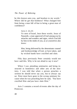be this known unto you, and hearken to my words." Where did he get that boldness? What changed him from being a man full of fear to being a great man of confidence?

Acts 2: 22,23:

Ye men of Israel, hear these words; Jesus of Nazareth, a man approved of God among you by miracles and wonders and signs, which God did by him in the midst of you, as ye yourselves also know:

Him, being delivered by the determinate counsel and foreknowledge of God, ye have taken, and by wicked hands have crucified and slain.

Fifty days previously Peter certainly would not have said this. Why is he not afraid to say it now?

When I was attending seminaries and being instructed in homiletics and other arts of the ministry, I was told that when a person preaches a sermon he should never say you, but to always say *we.* Peter must have gone to the wrong seminary because when he was preaching here he said, *"You* have crucified Him *and you* have slain Him."

Acts 3 contains a record of events after the day of Pentecost.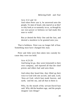Acts  $3.12$  and  $14$ .

And when Peter saw it, he answered unto the people, Ye men of Israel, why marvel ye at this? or why look ye so earnestly on us, as though by our own power or holiness we had made this man to walk?

But ye denied the Holy One and the Just, and desired a murderer to be granted unto you.

That is boldness. Peter was no longer full of fear. Something must have changed this man.

Peter and John were then taken into custody because they were too bold.

#### Acts  $4.23-29$

And being let go, they went [returned] to their own company, and reported all that the chief priests and elders had said unto them.

And when they heard that, they lifted up their voice to God with one accord, and said, Lord, 'thou *art* God, which hast made heaven, and earth, 'and the sea, and all that in them is:

Who, by the mouth of thy servant David hast said. Why did the heathen rage, and the people imagine vain things?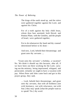The kings of the earth stood up, and the rulers were gathered together against the Lord, and against his Christ.

For of a truth against thy holy child Jesus, whom thou hast anointed, both Herod, and Pontius Pilate, with the Gentiles, and the people of Israel, were gathered together,

For to do whatsoever thy hand and thy counsel determined before to be done -

And now, Lord, behold their threatenings: and grant unto thy servants ....

"Grant unto thy servants" a holiday, a vacation? No. We think it should say this because, after all, if we have been out there working for the Lord, carrying out the ministry, being imprisoned, whipped, and persecuted, certainly we ought to have a vacation with pay. When Peter and John came back and got in this prayer group, they said,

> ... Lord, behold their threatenings: and grant unto thy servants, that with all boldness [not with hesitancy, not with reluctance, not with fear.] they may speak [what the people want us to speak? No.] thy word.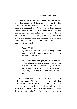They prayed for more boldness. As long as they were full of fear and behind closed doors, they had nothing to fear but fear itself, but once they got boldness and preached the Word of God, they accomplished work for the Lord. Men were healed, set free, and saved. Peter and John, however, were thrown into prison; but when they got out, they went back to the little prayer group and believed for more boldness. "Give us more of the boldness, Lord, that we may speak thy word."

Acts 4:30,31:

By stretching forth thine hand to heal; and that signs and wonders may be done by the name of thy holy child Jesus.

And when they had prayed, the place was shaken where they were assembled together; and they were all filled with the Holy Ghost, and they spake the word of God with [hesitancy? No. They spake the Word of God with] boldness.

What made them speak the Word of God with boldness? Verse 31 says that "they were all filled with the Holy Ghost." In Acts 2 on the day of Pentecost the twelve apostles received the fullness of the Holy Spirit. Verse 31 of Acts 4 says that they were all filled with the Holy Ghost "and they spake the word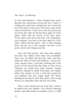of God with boldness." What changed those men? Between the resurrection record and Acts 2 there is nothing that could have changed the men except the new birth which is the power of the holy spirit which came on Pentecost. I have never seen one person get rid of his fear until he became born again of God's Spirit, filled with the power of the holy spirit. If you want to get rid of your fear, your frustrations, your anxieties, you have to be born again by God's Spirit, filled with His power. That is what changed Peter and the rest of the apostles and that is the power which will change your life.

Peter and John prayed. And when they prayed, the place was shaken where they were assembled. They were all filled with the holy spirit, and they spake the Word of God with boldness. I always become amused when I read that, thinking that if the power of God moved like that today in most of our churches, we would have many funerals. People would be shocked to death if the place was shaken where they prayed. In Acts 4 what they prayed for was boldness that they might speak The Word. Nothing but the power of the holy spirit in the Living Word in an individual takes the fear out of him.

That is what took the fear out of my life. I used to be afraid of my own shadow; I was afraid of meeting people, especially people in academic circles, in high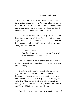political circles, in elite religious circles. Today I have no fear within me. Why? I believe that the power from the Holy Spirit is within giving me the boldness, the enthusiasm, the dynamics to stand up for the integrity and the greatness of God's Word.

Fear builds unbelief. This is why fear always defeats the promises of God. Jesus Christ did many signs, miracles and wonders in places like Galilee and Capernaum in Galilee; but in Nazareth, his own home town, He could not do much.

Matthew 13:53:

And he [Jesus] did not many mighty works there because of their unbelief.

Could He not do many mighty works there because He had changed? No. Jesus had not changed; the people had changed.

Unbelief is believing; it is negative believing. On the negative side is doubt and on the positive side is confidence. Confidence versus doubt; trust versus worry; faith versus fear. Doubt, worry and fear are negative believing. Confidence, trust, and faith are positive believing. These laws work with precision not only in the Word of God but in our own lives.

Carefully note that there are two specific types of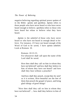negative believing regarding spiritual power spoken of in the Bible: *apistia* and *apeitheia. Apistia* refers to those people who have never heard or who have never heard enough to believe; *apeitheia* refers to those who have heard but refuse to believe what they have heard.

*Apistia* is the unbelief of those who have never heard or who have not heard in enough detail to believe. For instance, if I have not heard enough of the Word of God to be saved, I have *apistia* unbelief. Look at Romans 10.

Romans 10:13-15:

For whosoever shall call upon the name of the Lord shall be saved.

How then shall they call on him in whom they have not believed? and how shall they believe in him of whom they have not heard? and how shall they hear without a preacher?

And how shall they preach, except they be sent? as it is written, How beautiful are the feet of them that preach the gospel of peace, and bring glad tidings of good things!

"How then shall they call on him in whom they have not believed? ... how shall they believe in him of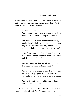whom they have not heard?" These people were unbelievers in that they had never heard the Word of God so that they could believe.

> Matthew 13:53-58: And it came to pass, *that* when Jesus had finished these parables, he departed thence.

> And when he was come into his own country, he taught them in their synagogue, insomuch that they were astonished, and said, Whence hath this *man* this wisdom, and *these* mighty works?

> Is not this the carpenter's son? is not his mother called Mary? and his brethren, James, and Joses, and Simon, and Judas?

> And his sisters, are they not all with us? Whence then hath this *man* all these things?

> And they were offended in him. But Jesus said unto them, A prophet is not without honour, save in his own country, and in his own house.

> And he did not many mighty works there because of their unbelief.

He could not do much in Nazareth because of the people's unbelief, *apistia.* Although Jesus tried to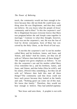teach, the community would not hear enough to believe because they did not think He could know anything since He was illegitimate, and thus they could not believe. Do you know what the people of Jesus' community said to Him? "Is this the carpenter's son? He is illegitimate because everyone knows that Mary was pregnant before she and Joseph came together in marriage." Contrary to what they thought, however, Jesus was not the carpenter's, son; He was the Son of God by divine conception, born of Mary but conceived by the Holy Ghost, as the Word of God says.

"Is not this the carpenter's son? Is not his mother called Mary and his brethren, James, and Joses, and Simon, and Judas? And his sisters, are they not all with us? Whence then hath this *man* all these things?" The original text gives emphasis as follows: "Is not this the carpenter's son and his mother called Mary (You remember her.), and his brethren, James, and Joses, and Simon, and that Judas (Was he wild!), and his sisters, (Weren't they something.), Are they not all with us? Whence then hath this *man* all these things?"The community said that Jesus could not have such power because they looked at the family and said, "Nothing good can come out of this man. We know that family." Therefore, they would not hear enough to believe. They had unbelief *(apistia).* 

"But Jesus said unto them, A prophet is not with-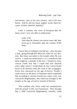out honour, save in his own country, and in his own house. And he did not many mighty works there because of their unbelief *[apistia]."* 

Luke 2 contains one verse of Scripture that for many years I was not able to understand.

Luke 2:42:

And when he [Jesus] was twelve years old, they went up to Jerusalem after the custom of the feast.

I knew that according to Jewish law, a boy became a man, going through Bar Mitzvah, when he was thirteen. But Jesus was taken to the temple when He was twelve. I could not understand it so I considered that there might be a mistake in the text. I looked in every critical Greek text that I could find and checked every other source I could think of; but I never found Jesus to be thirteen when He went to the synagogue. Every text concurred on the age of twelve. Finally I came across an old piece of literature which explained that according to ancient Jewish law when a boy was conceived illegitimately, this child was brought to the temple at the age of twelve instead of thirteen.

This explains why Jesus could not communicate with the people in His own hometown. They thought that a child conceived illegitimately certainly could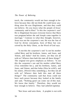teach, the community would not hear enough to believe because they did not think He could know anything since He was illegitimate, and thus they could not believe. Do you know what the people of Jesus' community said to Him? "Is this the carpenter's son? He is illegitimate because everyone knows that Mary was pregnant before she and Joseph came together in marriage." Contrary to what they thought, however, Jesus was not the carpenter's son; He was the Son of God by divine conception, born of Mary but conceived by the Holy Ghost, as the Word of God says.

"Is not this the carpenter's son? Is not his mother called Mary and his brethren, James, and Joses, and Simon, and Judas? And his sisters, are they not all with us? Whence then hath this *man* all these things?" The original text gives emphasis as follows: "Is not this the carpenter's son and his mother called Mary (You remember her.), and his brethren, James, and Joses, and Simon, and that Judas (Was he wild!), and his sisters, (Weren't they something.), Are they not all with us? Whence then hath this *man* all these things?" The community said that Jesus could not have such power because they looked at the family and said, "Nothing good can come out of this man. We know that family." Therefore, they would not hear enough to believe. They had unbelief *(apistia).* 

"But Jesus said unto them, A prophet is not with-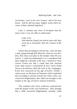out honour, save in his own country, and in his own house. And he did not many mighty works there because of their unbelief *[apistica] ."* 

Luke 2 contains one verse of Scripture that for many years I was not able to understand.

Luke 2:42:

And when he [Jesus] was twelve years old; they went up to Jerusalem after the custom of the feast.

I knew that according to Jewish law, a boy became a man, going through Bar Mitzvah, when he was thirteen. But Jesus was taken to the temple when He was twelve. I could not understand it so I considered that there might be a mistake in the text. I looked in every critical Greek text that I could find and checked every other source I could think of; but I never found Jesus to be thirteen when He went to the synagogue. Every text concurred on the age of twelve. Finally I came across an old piece of literature which explained that according to ancient Jewish law when a boy was conceived illegitimately, this child was brought to the temple at the age of twelve instead of thirteen.

This explains why Jesus could not communicate with the people in His own hometown. They thought that a child conceived illegitimately certainly could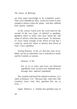### *The Power of Believing*

not have great knowledge or do wonderful works. They were offended by Him, would not listen to hear enough to believe when He spoke, 'and thus suffered from apistia, unbelief.

In the critical Greek texts the word used for the second of the two types of unbelief is *apeitheia. Apeitheia* refers to those who have heard but still refuse to believe what they have heard. To illustrate, if I have heard enough of the Word of God that I could be saved but refuse to believe that Word of God, I have *apeitheia.* 

Noting Romans 11:30, we find this type of unbelief, not for an individual, but in reference to Israel and the Gentiles as nations.

Romans 11:30:

For as ye in times past have not believed *[apeitheia]* God, yet have now obtained mercy through their unbelief *[apeitheia].* 

The Gentiles had heard but refused to believe, as it states in Romans 1:21, "Because that, when they [the Gentiles] knew God, they glorified *him* not as God<sup>"</sup>

Again Hebrews 4 clarifies this *apeitheia* type of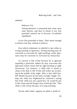unbelief.

Hebrews 4:6:

Seeing therefore it remaineth that some must enter therein, and they to whom it was first preached entered not in because of unbelief *[apeitheia].* 

It was first preached to them. They heard enough to believe but they refused to believe.

Fear which culminates in unbelief is due either to wrong teaching or ignorance. Wrong teaching may be corrected or overcome by right teaching; while ignorance may be corrected or overcome by instruction.

If a person is full of fear because he is ignorant regarding a particular subject he may overcome this ignorance which causes fear by right teaching or right instruction. For instance, a child who is afraid to sleep in the dark is full of fear and wakes up screaming in the middle of the night. Why is that child fearful? Maybe because he has been wrongly taught. Perhaps the child was frightened by someone's saying that if the child was not a good boy, he would be put in the closet and the boogie man would get him. That child is full of fear because of wrong teaching.

On the other hand, suppose an adult is afraid of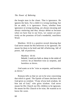the boogie man in the closet. That is ignorance. He ignores the facts. For a child it is wrong teaching; but for an adult, it is ignorance. Fears, whether from ignorance or wrong teaching, are always encasing and always enslaving and they always defeat us because when we have fear in our lives, we cannot act positively on the promises of God's wonderful, matchless Word.

Matthew 10:16 is a positive record showing that God never meant for His believers to be ignorant; He meant for them to be bold and full of believing, full of power, full of positives.

> Matthew 10:16: Behold, I send you forth as sheep in the midst of wolves: be ye therefore wise as serpents, and harmless as doves.

God wants us to be "wise as serpents, and harmless as doves."

Romans tells us that we are to be wise concerning that which is good. The Epistle of James declares that God gives us wisdom: "If any of you lack wisdom, let him ask of God," who gives wisdom. God never meant for His Church nor His children to be ignorant; He meant for His Church to be wise; He wanted us to know the score.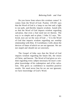Do you know from where this wisdom comes? It comes from the Word of God. Psalms 119:105 says that the Word of God is a lamp to our feet and a light to our path, and thereby imparts wisdom. Isaiah tells us that the Word of God imparts wisdom regarding salvation, that even a fool need not err therein. The way is so simple and so plain. I John 3:2 says, "Beloved, now are we the sons of God ..." It is the Word of God that imparts wisdom regarding our sonship relationship with Him. II Corinthians 2 tells about the devices of Satan of which we are not ignorant. We are not stupid and should not act unwisely.

The Gospel of John says that the Word of God imparts wisdom regarding the future life, the return of Christ, and heaven. The Word of God gives us wisdom regarding every subject necessary for man's complete knowledge of his redemption and of his salvation. This gives us confidence to manifest positive results. We need never fear for we are not ignorant; we have knowledge of God's Word.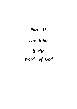## *Part II*

## *The Bible*

# *is the*

# *Word of God*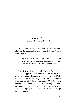### **Chapter Five The God-breathed Word**

II Timothy 3:16 has great significance in our study of power for abundant living. It tells that The Word is God-breathed.

> All scripture *is* given by inspiration of God, and *is* profitable for doctrine, for reproof, for correction, for instruction in righteousness.

The first word in II Timothy 3:16 is "all." Every time "all" appears, one must ask himself what the word "all" means, because in the Bible the word "all" is used in one of two ways: it is either *all without exception* or *all without distinction. All without distinction* means everyone in a certain designated class or group. If one wrongly considers the word "all," he will never rightly understand the Word of God or get its full impact.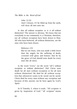*The Bible is the Word of God* 

John 12:32: And I [Jesus], if I be lifted up from the earth, will draw all *men* unto me.

Is that *all without exception* or is it *all without distinction?* The answer is obvious. We know that not everybody in our community is a Christian; therefore, not all without exception have been drawn to Him. All who have believed, all without distinction, are the ones who have been drawn.

Hebrews 2:9:

But we see Jesus, who was made a little lower than the angels for the suffering of death, crowned with glory and honour; that he by the grace of God should taste death for every man [for all men].

Is the word "every" (or the word "all") *without exception* or *without distinction?* Did Christ taste death for all men without exception or for all men without distinction? He died for all without exception that whosoever wants to be saved can be saved. Christ died for every man without any exception and because of this anyone can be born again by God's Spirit.

In II Timothy 3, where it reads, "All scripture *is*  given by inspiration of God," "all scripture" means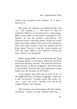without any exception from Genesis 1:1 to Revelation  $22.21$ .

The words "all scripture" are followed by the word "is." "All scripture *is ..."* The word "is" must be italicized. Where it is not italicized in a King James Bible, it was either a proofreader's oversight or a deliberate act for the printer's convenience. All italicized words in the King James Version are words which have been added to the text by the translators. One of the major reasons I have my students use the King James Version is that this version points out what has been added to the Stephen's Greek text from which it was translated.

Before going further, let us understand one thing If a person deletes a word that is italicized, the Word of God has not been touched. The italicized word was added anyway so that by dropping it The Word itself is not touched. This becomes very important as we go further into the accuracy of The Word.

To go another step, there was no verb "to be" in the original Hebrew or Aramaic languages. There was a verb "to become." In other words, the words "is,' "are," "was" and "were" literally were not in the original Hebrew and Aramaic.

This becomes very interesting in the first chapter of Genesis. Genesis 1:2 says "And the earth was ..."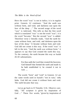Here the word "was" is not in italics; it is in regular print. Genesis 1:2 continues: "And the earth was without form, and void; and darkness *was* upon the face of the deep ..." The second usage of the word "was" is italicized. This tells us that the first word which is translated "was" is not the word "was": it is the word "became." But the second "was" is added. Therefore verse 2 literally reads, "And the earth became without form, and void; and darkness upon the face of the deep." It *became* without form and void. God did not create it this way. If the word "was" is left in the text, "And the earth was without form," it appears to say that God created the earth this way. To the contrary, the earth *became* this way as Isaiah 45:18 substantiates.

> For thus saith the Lord that created the heavens; God himself that formed the earth and made it; he hath established it, he created it not in vain ....

The words "form" and "void" in Genesis 1:2 are the same words used in Isaiah's "not in vain," *tohu bohu.* God did not create it without form and void. The earth became that way.

Let us go back to II Timothy 3:16. Observe carefully, "All scripture *is* given by inspiration of God ..." These five words, "given by inspiration of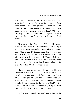God" are one word in the critical Greek texts. The word is *theopneustos.* This word is composed of two root words: *theo* and *pneustos.* Taken in parts, *Theo* is "God" and *pneustos* is "breathed." *Theopneustos* literally means "God-breathed." "All scripture *is* given by inspiration of God" equals "all scripture *is theopneustos"* or "all scripture is Godbreathed.

Now we ask, does God breathe? You and I breathe, but does God? John 4:24 records that "God *is* a Spirit ..." The Greek texts delete the article *a* and simply say, "God *is* Spirit." Furthermore, the Word of God says that a spirit has no flesh or bones. We cannot view a spirit with our eyes. Yet II Timothy 3:16 says that God breathed. We must search out exactly what is meant when God is attributed human characteristics. What does "God-breathed" mean?

Have you ever asked yourself what should be emphasized in the Word of God? If the Bible is Godbreathed, theopneustos, and if the Bible is the Word of God, can you imagine for one minute that God would allow any mortal the privilege of deciding what should 'be emphasized in the Word of God? In this word, "God-breathed," theopneustos, is a great truth that has taken years to ferret out and study.

God is Spirit so God does not breathe, but we do.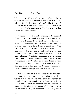Whenever the Bible attributes human characteristics to God, as does this particular Scripture in II Timothy, it is called a *figure of speech.* The figures of speech in the Bible from Genesis 1:1 to Revelation 22:21 are God's markings in The Word as to that which He wants emphasized.

A figure of speech is not something to be guessed about. Figures of speech are legitimate grammatical usages which depart from literal language to call attention to themselves. For instance, if we have not had any rain for a long time, I could say, "The ground is dry." This would be a plain statement of fact. The dust is blowing around and the cracks are gaping. But if I say, "The ground is thirsty," that is a figure of speech. The figure of speech is always more vivid than the literal statement itself. When I say "The ground is dry," I place an indistinct idea in your mind; but the moment I say "The ground is thirsty," then you have a clear picture. A figure of speech always augments, always vitalizes, the statement.

The Word of God is to be accepted literally whenever and wherever possible. But when a word or words fail to be true to fact, they are figures of speech. Figures of speech have a God-designed emphasis which must be grasped and understood in order to fully obtain the impact of The Word. Men are prone to use figures of speech haphazardly, but in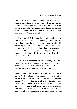the Word of God figures of speech are used with divine design. Each and every one of them may be accurately catalogued and analyzed with precision. There is absolutely no guesswork. Except for the figtires of speech and the Oriental customs and mannerisms, The Word is literal.

There are 212 different figures of speech used in the Bible. As far as I can calculate, throughout history there must have been approximately 220 different figures of speech. Two hundred twelve of these are used in the Bible; sometimes there are as many as 40 variations of one figure. It is easy to see what a monumental opportunity for research the field of figures of speech is.

This figure of speech, "God-breathed," is so tremendous that I am taking this time to develop its greatness. Once you understand this, hundreds of Scriptures will become very plain to you.

God is Spirit, yet II Timothy says that "all scripture is God-breathed." This figure of speech is called in the Hebrew *derech benai adam* which translated means "ways of the sons of man," bringing God down to the level of man. Now the Greeks took *derech benai adam* and translated it *anthropopatheia*  meaning "pathos of man." The Romans used this figure and called it *condescensio* in Latin from which is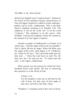derived our English word "condescension." Whenever the Word of God attributes human characteristics to God, the figure of speech is called in Greek *anthropo patheia* and in Latin, *condescensio.* This is the Holy Spirit's emphatic marking in II Timothy 3:16. The emphasis is not on the word "all" or on the word "scripture." The emphasis is on the source, *Godbreathed.* God put the emphasis where He wanted it; He marked it by this figure of speech.

Another example of *condescensio* is Exodus 4:14 which says, "And the anger of the Lord was kindled." God is Spirit; He has no anger. When the Bible says the anger of the Lord, what figure is it? *Condescensio.* Isaiah 52:10 says, "The Lord hath made bare his holy arm ..." Does the Lord have an arm? No, He does not, but I do and you do. "To make bare the arm" is the figure *condescensio.* 

What exactly was the process by which the Godbreathed Word came about? The key to answering this question is in the Word of God.

> II Peter 1:21: For the prophecy came not in old time by the will of man: but holy men of God spake *as they were* moved by the Holy Ghost.

"Prophecy" is uniquely used in this verse of Scrip-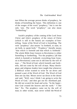ture When the average person thinks of prophecy, he thinks of foretelling the future. This definition is one of the usages of the word "prophecy," but is not the only 'one. The word "prophecy" can also mean "forthtelling."

Isaiah's prophecy of the coming of the Lord Jesus Christ and John's prophecy of the return of Christ (which is still in the future) are examples of foretelling. Some of the Word of God is foretelling. The verb "prophesy" also means "to forthtell, to state, to set forth, to speak forth." "Prophecy" literally means "that which is foretold and that which is forthtold." The whole Bible from Genesis to Revelation is either foretelling or forthtelling. "For the prophecy [all that which is foretold or forthtold, everything from Genesis to Revelation] came not in old time by the will of man  $\ldots$ " The Word of God, which foretells and forth $\neg$ tells, did not come by the will of man. Many theologians and religious leaders have taught that whenever a Biblical writer wanted to write he sat down and penned a part of the Word of God. The Word of God does not say that. Moses never sat down in the desert and said, "Well, now I think I am going to write the Word of God," and then got out his shorthand pad. He did not scratch his head and write. "In the beginnine God created the heaven and the earth." "I like that." No. The prophecy came not by the will of man; in other words, man never willed the Word of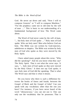God. He never sat down and said, "Now I will to compose Genesis" or "I will to compose Matthew." "For the prophecy came not in old time by the will of man ...." This is basic to our understanding of a fundamental background of how The Word came about.

The Word of God never came by the will of man, "... but holy men of God spake ..." Holy men of God spoke. Who are holy men? Men who believe God are holy. The Bible was not written by God-rejectors, unbelievers or skeptics. The Bible was written by holy men of God who spoke as they were moved by the Holy Spirit.

I have asked many people about this verse, "Who did the speaking?" And do you know what they say? The Holy Spirit. That is not what the verse says. It says, "... holy men of God spake *as they were* moved by the Holy Ghost." It does not say God spoke; it says holy men of God did the speaking. That is what The Word says and that is what it means.

Do you know why there is such a difference between the books of Amos and Isaiah, between the Gospel of Mark and the Gospel of John? Can you speak with any vocabulary other than the one you have? For instance, if you have never heard of the word "idiosyncrasy," you can not use it. One can only use the vocabulary that he possesses. That is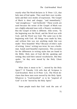exactly what The Word declares in II Peter 1:21, that holy men of God spoke. They used their own vocabularies and their own modes of expression. The Gospel of Mark is short and choppy: "and immediately," "and straightway," "and forthwith." These words are used because the writer of the Gospel of Mark was not a highly-educated man with a flowery vocabulary. But the Gospel of John is different. John wrote, "In the beginning was the Word, and the Word was with God, and the Word was God. The same was in the beginning with God. All things were made by him; and without him was not anything made that was made." How beautiful! Why? Because of John's style of writing. Amos' writing was terse; he was a herdsman. Isaiah used beautiful expressions. This accounts for the differences in writing styles that are found in the Bible. Holy men of God did the speaking and writing; they used their natural vocabularies. But they spoke *"as they were moved* by the Holy Ghost [Spirit]."

What does it mean to be "... moved by the Holy Spirit"? II Timothy 3:16 tells that all Scripture is God-breathed. Here in II Peter 1:21, The Word declares that these men were moved by the Holy Spirit. Whatever is "God-breathed" or to be "inspired of God" is to be "moved by the Holy Spirit."

Some people teach that God took the arm of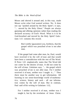Moses and shoved it around and, in this way, made Moses write what God wanted written. No. It does not say "pushed around by the Holy Spirit"; it says, "... moved by the Holy Ghost." People are always guessing and offering opinions rather than reading the declared accuracy of God's Word. What is it to be God-breathed and moved by the Holy Spirit? Gala tians 1:11 contains this record.

> But I certify [guarantee] you, brethren, that the gospel which was preached of me is not after man.

If the gospel had come after man, he, Paul, would have received it by the will of man and that would have been a contradiction with the rest of The Word. II Peter 1:21 emphatically states that The Word did not come by the desires of man. It did not come by the will of man. Galatians says, "... the gospel which was preached of me is not after man. For I neither received it of man, neither was I taught *it...."* Then there must be another way to get information. All learning in our sense-knowledge world of mathematics, science, history and such - all our information comes by the will of man. But in contrast, Paul said of his writing in Galatians 1:12,

For I neither received it of man, neither was I taught it, but by the revelation of Jesus Christ.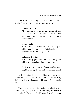The Word came "by the revelation of Jesus Christ." Now let us put these verses together.

II Timothy 3:16:

All scripture *is* given by inspiration of God [God-breathed], and *is* profitable for doctrine, for reproof, for correction, for instruction in righteousness.

II Peter 1:21:

For the prophecy came not in old time by the will of man: but holy men of God spake *as they were* moved by the Holy Ghost.

Galatians 1:11,12:

But I certify you, brethren, that the gospel which was preached of me is not after man.

For I neither received it of man, neither was I taught it, but by the revelation of Jesus Christ.

In II Timothy 3:16 is the "God-breathed word" which in II Peter 1:21 is to be "moved by the Holy Spirit" which in Galatians 1:11 and 12 is "revelation."

There is a mathematical axiom involved at this point: "Things equal to the same thing are equal to each other." Therefore, God-breathed word = moved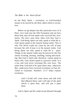#### *The Bible is the Word of God*

by the Holy Spirit  $=$  revelation; or God-breathed means to be moved by the Holy Spirit which is revelation.

Before we go deeper into this particular verse in II Peter, let's look into the Old Testament and see how those holy men of God spoke who received this revelation. We have seen from John 4:24 that God is Spirit. God being Spirit can only speak to what He is. God cannot speak to the natural human mind. This is why The Word could not come by the will of man because the will of man is in the natural realm. God being Spirit can only speak to what He is - spirit. Things in the natural realm may be known by the five senses of seeing, hearing, smelling, tasting and touching. But God is Spirit and, therefore, cannot speak to brain cells; God cannot speak to a person's mind. It is a law and God never oversteps His own laws. The spirit from God had to be upon these men, otherwise they could never have received revelation as Paul declared in Galatians. Numbers 11:17 helps explain revelation.

> And I [God] will come down and talk with thee [Moses] there: and I will take of the spirit which *is* upon thee, and will put *it* upon them

God is Spirit and He could reveal Himself through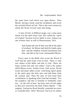the spirit from God which was upon Moses. Then Moses, having a mind, used his vocabulary and wrote the revealed Word of God. That is the exact means by which the Word of God came into being.

A man of God, in Biblical usage, was a man upon whom was the spirit from God, also called the "spirit" of wisdom" because God as Spirit is wise. Joshua was one of these men as told in Deuteronomy 34:9.

> And Joshua the son of Nun was full of the spirit of wisdom; for Moses had laid his hands upon him: and the children of Israel hearkened unto him, and did as the Lord commanded Moses.

Every man in the Bible who wrote the Word of God had the spirit from God on him. There is only one author of the Bible and that is God. There are many writers but only one author. God is the author while Moses wrote, Joshua wrote, Paul wrote, David wrote and many others wrote. God being Spirit spoke to the spirit upon the holy men and told them what He wanted said. Then the men of God used their vocabularies in speaking what God had revealed. "For the prophecy [all that is foretold or forthtold] came not... by the will of man: but holy men of God spake *as they were* moved by the Holy Ghost [Spirit] ." The original, God-given Word literally contained no errors or contradictions. Why? Because God was its author.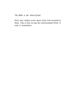*The Bible is the Word of God* 

Holy men simply wrote down what God revealed to them. This is how we got the God-breathed Word. It truly is tremendous.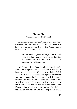### **Chapter Six That Man May Be Perfect**

After establishing how the Word of God came into existence, the next step in our building process is to find out what is the function of His Word. Let us look again at II Timothy 3:16.

> All scripture *is* given by inspiration of God- [God-breathed], and *is* profitable for doctrine, for reproof, for correction, for [which is] instruction in righteousness.

All Scripture from Genesis to Revelation is profitable. The Scripture does not put you in the red; it keeps you in the black. What is it profitable for? It *"... is* profitable for doctrine, for reproof, for correction, for instruction in righteousness." All Scripture is profitable in three areas: (1) doctrine, which is how to believe rightly; (2) reproof, which is to rebuke at the places where we are not believing rightly; and (3) correction, which is to put us back to right believing. The entire Word of God will do just that. It will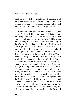teach us how to believe rightly, it will reprove us at the places where we are believing wrongly, and it will correct us so that we can again believe rightly. All three of these are "instruction in righteousness."

Many times a critic of the Bible comes along and says, "Well, the Bible is not true. I feel that there are too many contradictions; the Bible really is just another book among the rest of them." This is not the testimony of the Word of God. The testimony of the Word of God is that all Scripture is God-breathed and is profitable for doctrine, which is to teach us how to believe rightly, how to believe positively. If we are going to tap the resources for the more abundant life we must know how to believe rightly. To the people who say that the Bible has lots of error in it, I would like to state that the true Word of God is accurate from Genesis to Revelation. The errors have come in by man propounding those errors. Men have brought their opinions and desires into The Word. When men come and say that they do not believe the Bible, we must remember that the Bible was never written for the unbeliever, the agnostic, or the infidel; the Bible was not written for the God-rejectors and the God-deniers. The Bible was written for men and women who want to find answers. The Word of God is given to men and women who want to tap resources for the more abundant life. This is why the critic who comes from the outside to the Word of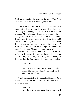God has no footing to stand on to judge The Word because The Word has already judged him.

The Bible was written so that you as a believer need not be blown about by every wind of doctrine or theory or ideology. This Word of God does not change. Men change, ideologies change, opinions change; but this Word of God lives and abides forever. It endures, it stands. Let's see this from John 5:39. "Search the scriptures ..." It does not say search Shakespeare or Kant or Plato or Aristotle or V.P. Wierwille's writings or the writings of a denomination. No, it says, "Search the scriptures .." because all Scripture is God-breathed. Not all that Wierwille writes will necessarily be God-breathed; not what 'Calvin said, nor Luther, nor Wesley, nor Graham, nor Roberts; but the Scriptures - they are God-breathed.

John 5:39:

Search the scriptures; for in them ... ye have eternal life: and they [the Scriptures] are they which testify of me.

The Scriptures tell us the truth about the Lord Jesus Christ, and about God; this is doctrine - it is right believing.

> John 17:8: For I have given unto them the words which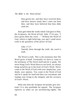*The Bible is the Word of God* 

thou gavest me; and they have received *them,*  and have known surely that I came out from thee, and they have believed that thou didst send me.

Jesus gave them the words which God gave to Him, the Scriptures, the Word of God. John 17:14 says, "I have given them thy word ..." Without the Word of God, which is right believing, you and I could never walk in the greatness of the power of God.

> John 17:17: Sanctify them through thy truth: thy word is truth.

The Word is truth. This is the testimony that The Word gives of itself. Eventually we have to come to the testimony of The Word itself and let it speak. We never bring God's Word down to our level; we always bring ourselves up to the level of God's Word. Never come to the Word of God with your skepticism, your doubt, your opinion. You come to the Word of God and let it speak for itself and then you reevaluate and readapt your living to the integrity and the accuracy of God's Word.

What else does the Scripture do besides give doctrine? It is also profitable for reproof. The Scripture reproves us when we are not believing rightly. The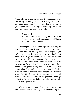Word tells us where we are off; it admonishes us for our wrong believing. No man has a right to reprove any other man. The Word of God has to do the reproving because what I might allow in my life, somebody else might not allow in his life.

Romans 14:22:

Hast thou faith? have *it* to thyself before God. Happy *is* he that condemneth not himself in that thing which he alloweth.

I have experienced people's reproof when they did not like the ties that I wore, to cite one example. I was then moving among circles that taught if you offend somebody by what you do, you should quit doing it. So I got rid of the old tie and found out that the next tie offended someone else. I tried every which way to please people because people were reproving me for wearing this or wearing that. I have come to the place in my life that I am concerned about what God thinks and not what people think. I take my reproof not from what people say, but from what The Word says. These Scriptures are Godbreathed and these Scriptures are profitable for right believing. Where we are believing and acting wrongly, The Word reproves us.

After doctrine and reproof, what is the third thing the Scripture does? Not only does it teach us right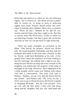believing and reprove us when we are not believing rightly, but it corrects us. The Word of God is profitable to correct us, to bring us back to believing rightly once more. Parents should utilize this technique in training their children. Most of us as parents say, "Don't do that." Seldom do we add the correction and tell them what they ought to do. But that is exactly what The Word does. It tells us where we are believing wrongly; but then it gives the correction and tells us how we can get back to right believing.

There are many examples of correction in the Bible. Take David, for instance. David was off the ball. He found beautiful Bathsheba and then had her husband shot while in the front lines of battle so that he, David, could have Bathsheba as his wife. A few people knew about the sequence of events leading to David's marriage, but nobody had a right to say anything because David was king and every woman in the kingdom was technically the property of the king or belonged to the king. However, there happened to be a little prophet whose name was Nathan with whom God had a conversation. One time God said to Nathan, "Nathan, you go over and tell David that he has sinned." And Nathan said, "Oh, Lord, not me. I don't want to go to David because old David is handy at chopping off heads." But the Lord insisted, "You go over and tell him about a man who had many sheep and his neighbor had just one little lamb and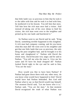that little lamb was so precious to him that he took it to the table with him and he took it to bed with him; he mothered it in his bosom. You tell him that story. Tell him how the rich man once had a visitor. And instead of taking one of his own sheep to feed his visitor, the rich man went over to the neighbor and picked up his one lamb and butchered it."

So Nathan went to see David and he said, "King David, something terrible happened in this kingdom. A rich man had company coming, and do you know what this man did? He went over to his neighbor and got that one little lamb that was so precious, the only thing the poor neighbor had, and he brought it to his home and slaughtered it." Nathan told David the whole story. David became very angry and he said to Nathan, "You tell me who the man is. Give me his name and I'll have his head chopped off." Nathan looked David right in the eye and he said to him, "You are the man."

How would you like to have been Nathan? If Nathan had gone down there with any other story, do you know what would have happened to him? David would have had Nathan beheaded. But God told Nathan what to say so that David would trap himself. The moment David said, "Let me know who it is," Nathan said, "You are the man." At that moment David recognized the truth of what Nathan was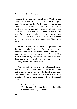bringing from God and David said, "Well, I am sorry." He turned to God and asked God to forgive him. Then it says in the Word of God that David was a man after God's own heart. He was not after God's heart when he was out fooling around with Bathsheba and having Uriah killed; no, but when he was back in line, David was a man after God's own heart. When we rightly divide The Word and we walk in the power of it - then we are men and women after God's own heart.

So all Scripture is God-breathed, profitable for doctrine - right believing, for reproof - reprimanding when we are believing wrongly, and for correcting us - for putting us back in line for God. This is instruction in righteousness. Isn't that a tremendous verse of Scripture when we examine it closely to see the greatness of God's Word.

After having the function of God-breathed Scripture - doctrine, reproof, and correction which are instruction in righteousness - disclosed in one concise verse, God follows with the next line in II Timothy 3 by giving the purpose of the God-breathed Word.

II Timothy 3:17:

That the man of God may be perfect, throughly furnished unto all good works.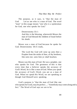The purpose, as it says, is "that the man of God Let us see who is a man of God. The word "man" in this usage means "one who is a spokesman for God, one who speaks for God."

Deuteronomy 33:1 :

And this *is* the blessing, wherewith Moses the man of God blessed the children of Israel before his death.

Moses was a man of God because he spoke for God. Deuteronomy 18:15 reads,

> The Lord thy God will raise up unto thee a Prophet from the midst of thee, of thy brethren, like unto me; unto him ye shall hearken.

Moses was this man of God. He was a prophet, one who speaks for God. The greatness of this is that every time that a believer speaks the accuracy of God's Word, he is like a man of God. When you speak the accuracy of God's Word, you are as a man of God. When we speak His Word, we are speaking as though God Himself were speaking.

God's purpose is "that the man of God [the one who speaks for God], may be perfect ...." Somebody may come along and say fect." The Word of God says we are to be.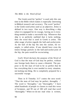The Greek word for "perfect" is used only this one time in the Bible which makes it especially interesting in Biblical research and accuracy. The word "perfect" is the Greek word *artios* used as an adjective. *Artios* is defined in two ways. One way is describing a ship when it is equipped for its voyage, having on it everything needed to make a successful trip. Whenever that ship is so perfectly outfitted that it lacks nothing, then the word that is used in Greek is *artios.* The other usage of *artios* regards the ball-and-socket joint. As the ball of the hip fits into the socket, for example, is called *artios.* If one should have even the tiniest foreign particle in the ball-and-socket joint of the hip, the pain would be excruciating.

God's Word declares the purpose of the Word of God is that the man of God may be perfect, without one foreign body there to cause a blemish. The purpose is for the man of God to be so perfect that he has everything that is ever needed in every situation, not lacking one thing. He is completely prepared for a successful voyage.

Then in II Timothy 3:17 comes the next word: "That the man of God may be perfect, throughly .." The word is "throughly," not "thoroughly." I have asked hundreds of people in classes to read this verse of Scripture, and 99 out of 100 will read that word "thoroughly." When we do not read what is written,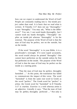how can we expect to understand the Word of God? People are constantly reading into it. Our minds project rather than read. It is basic that we read what is written. II Timothy 3:17 does not say "thoroughly;" it says "throughly." You may ask, "What is the difference?" You see, I can wash hands thoroughly, but I cannot wash my hands throughly. "Throughly" implies an inside job whereas "thoroughly" is for the external. The purpose of the Word of God is that the man of God may be perfect, not on the outside, but on the inside.

If the word "thoroughly" is in your Bible, it is a proofreader's oversight. If it were typed accurately, the word would always be printed "throughly" One cannot have perfection on the outside unless he first has perfection on the inside. The purpose of the Word of God is that the man of God may be perfect on the inside as a starting point.

"That the man of God may be perfect, throughly furnished ..." At this point, the translation has failed to communicate the impact of this verse. The word "furnished" is from the same root word in Greek as the word "perfect." The Greek word for "perfect" is *artios;* the Greek word for "furnished" in II Timothy 3:17 is *exartizo. Exartizo* is a verb whereas *artios* is an adjective. Literally it says, "That the man of God may be perfect, throughly perfected ..." Not only is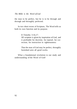*The Bible is the Word of God* 

the man to be perfect, but he is to be through and through and throughly perfected.

In two short verses of Scripture, The Word tells us both its own function and its purpose.

II Timothy 3:16,17:

All scripture is given by inspiration of God, and *is* profitable for doctrine, for reproof, for correction, for instruction in righteousness:

That the man of God may be perfect, throughly furnished unto all good works.

What a foundational revelation to our study and understanding of the Word of God!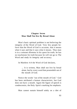## **Chapter Seven Man Shall Not live By Bread Alone**

Man's basic spiritual problem is not believing the integrity of the Word of God. Very few people believe that the Word of God is accurate, that it means what it says and that it says what it means. Thus man is in a constant dilemma in his quest for truth; he has no touchstone for truth because he will not go to The Word and study its integrity and accuracy.

In Matthew 4:4 the Word of God declares,

... It is written, Man shall not live by bread alone, but by every word that proeeedeth out of the mouth of God.

Notice the words "out of the mouth of God." God has been attributed a human characteristic, but God does not have a mouth. Again the figure of speech is condescensio, the Holy Spirit's marking for emphasis.

Man cannot sustain himself solely on a diet of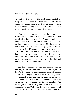physical food; he needs Ms food supplemented by every word that comes from God. Man cannot live by words that come from men, from different writers, from different theologians or from different church groups, but by words that come from God.

Man does need physical food for the maintenance of Ms physical body. But a man has more than just his physical body to care for. A man's soul needs nourishment also. Man's soul cannot be sustained by mashed potatoes, gravy and steak. Matthew 4:4 declares that man shall live not only by bread "but by every word fl.." He needs not just a word here and a word there; not one verse here and another verse there; "but by every word that proeeedeth out of the mouth of God." The Word of God is that food required by man so that he may renew his mind and thereby manifest the more abundant life.

Spiritual weakness and spiritual inability can be due only to an improper diet, that is, the neglect of the Word of God. For the most part, spiritual anemia caused by the neglect of the Word of God may today be attributed to the fact that the Bible is not understood when read. The Bible is not understood because we have never been taught how to understand it. Who has taught us figures of speech? Who has taught us what revelation is? Who has shown us the accuracy of The Word? That is why we have stories about the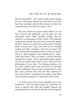dust-covered Bible. One cannot really blame people for this. The blame should lay with those of us who have been preachers and teachers because we have not communicated The Word to today's man.

But what about the people whose Bibles are not dust covered and neglected, and yet they are still spiritually weak? Their spiritual malady must be caused by wrong usage of God's Word. The improper usage means that the Word of God is not being rightly divided. Some of us have been instructed to read the Bible at least once a day; but when we are through reading our daily Scripture, what do we know? We have not learned anything because we have not understood it. What happens when people fail to understand The Word? They succumb to all the doctrines and theories of man. These spiritually-hungry people are blown around from pillar to post with each new philosopher or new idea. The fleeting shadows of a few great names rather than the Word of God hold people spellbound. Far too many people believe what they have received from man and then endeavor to have their beliefs corroborated by going to the Bible and selecting Scriptures to substantiate their ideas.

A woman once wrote to me regarding one of our broadcasts. She had appreciated my preaching because it agreed with what she thought Suppose the teaching had been The Word and that it had disagreed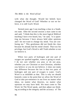with what she thought. Would her beliefs have changed the Word of God? Whether or not we believe, it is still God's Word.

Several years ago I was teaching a class in a Southern state. After the second session a man came to me and said, "I think that this is the most logical Biblical teaching I have ever heard, but," he said, "it is upsetting me because I have always held other opinions and I do not want to change my mind. You are confusing me." This gentleman did not finish the class because he already had his mind closed. That was his privilege, but God's Word is still Truth whether or not we believe it.

When two parts of hydrogen and one part of oxygen are sparked together, water is going to result. I do not care whether you pray or do not pray, whether you are Christian or non-Christian, whether you believe or you do not believe; it does not make any difference because the law is that two parts of hydrogen and one part of oxygen is water. God's Word is as infallible as that. This is why we should honestly come to the point that we allow the Word of God to take pre-eminence in our lives no matter what ideas, no matter what theories, no matter what opinions we may have held. We must come to The Word, let The Word speak, and then adjust our thinking according to the integrity and the accuracy of The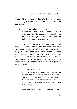Word. After we have let The Word speak, we must accordingly harmonize our beliefs, our actions and our living.

II Peter 1:3 says about The Word,

According as his [God's] divine power hath given unto us all things that *pertain* unto life and godliness, through the knowledge of him that hath called us to glory and virtue.

God by His divine power has given unto us all things that pertain unto life and godliness. If we want the things that pertain to life and godliness, we have to go to God's Word. If one plays football, he must go by the rules of the game of football. So logically, if we want to know God's will, where do we go? To the commentary, to the theologians, to the encyclopedia, or to last Sunday's sermon? No. We go to the Word of God.

I Thessalonians 2:13:

For this cause also thank we God without ceasing, because, when ye received the word of God which ye heard of us, ye received *it* not *as*  the word of men, but as it is in truth, the word of God, which effectually worketh also in you that believe.

They received the Word of God which they heard of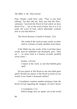*The Bible is the Word of God* 

Paul. People could have said, "That is just Paul talking," but they did not. Paul says that the Thes $\neg$ salonians "received the Word of God which ye have heard of us ... not as the word of men, but as it is in truth, the word of God, which effectually worketh also in you that believe."

The Word declares of itself in Psalms 12:6,

The words of the Lord *are* pure words: *as* silver tried in a furnace of earth, purified seven times;

If the Bible has the words of the Lord then these words must be undefiled and absolutely pure. They are "... *as* silver tried in a furnace of earth, purified seven times."

> Psalms  $119.162$ I rejoice at thy word, as one that findeth great spoil.

Do you rejoice at The Word as one who finds great spoil? Would you rejoice at The Word as much as you would if you found a thousand dollars?

I Corinthians contains another testimony from the Word of God regarding the integrity of God's Word.

> I Corinthians 2:13: Which things also we speak, not in the words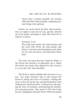which man's wisdom teacheth, but [words] which the Holy Ghost teacheth; comparing spiritual things with spiritual.

If these are words which the Holy Spirit teaches, then we ought to wash out our ears, get the cobwebs out of our minds, and begin to study The Word for its inherent accuracy.

Jeremiah 15:16:

Thy words were found, and I did eat them; and thy word [The Word, not what people said about it, not what some theologian wrote about it] was unto me the joy and rejoicing of mine heart

This does not mean that they found the Bible or The Word and chewed it or physically ate it. When The Word was found, they digested it; they lived on it; it was their life, their heartbeat.

The Word is almost unbelievable because it is so true. Too many ministers like to talk around The Word by taking one verse of Scripture, reading that verse as the text for the day, giving illustrations from Shakespeare and Newsweek, coming back and quoting the verse of Scripture, pronouncing the benediction and going home. How much of The Word then has the congregation learned? None! When the people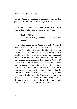ate The Word as recorded in Jeremiah, they ate the *pure* Word. We must preach the *pure* Word.

All God's creation is marvelous; but of all God's works, the greatest of His works is His Word.

> Psalms 138:2: ... for thou has magnified thy word above all thy name.

God has magnified His Word above His Name. It does not say that about the stars or the planets. He set His Word above His name for He underwrote it; He put His name underneath it, He guaranteed it. It is just like a check. When I write a check for a thousand dollars, I put my name underneath it. The check is only as good as the signature. How good is The Word? The Word of God declares that it is as good as God for God signed His Name to it. The Word is as much God as God is God. What God said was, was; what God has said is, is; what God says will be, will be. Do you see why we must come back to the integrity and accuracy of God's wonderful Word? We cannot trust man's word because man blows about being here today and gone tomorrow; but the Word of God "liveth and abideth for ever." That Word endures.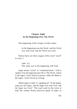## **Chapter Eight In the Beginning Was The Word**

The beginning of the Gospel of John states,

In the beginning was the Word, and the Word was with God, and the Word was God.

Notice there are three usages of the word "word" in verse 1.

> John 1:2: The same was in the beginning with God.

*Logos* means "word" or "communication." God is spoken of as the *logos* because He *is* The Word. Christ is the logos, God's Word in person; while the Bible is the logos, God's Word in writing.

Which *logos* is John 1:1 speaking of? "In the beginning was the logos, and the *logos* was with God, and the *logos* was God." The word used in this verse is both the written Word, which we speak of today as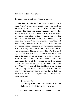the Bible, and Christ, The Word in person.

The key to understanding John 1:1 and 2 is the word "with." If any other Greek word were used for the word "with" except pros, the whole Bible would crumble. The word pros means "together with, yet distinctly independent of." That is exquisite semantic accuracy. Jesus Christ in the beginning was together with God, yet He was distinctively independent of Him. The written Word was originally with God, yet distinctively independent of God. This is its remarkable usage because it refutes the erroneous teaching that in the beginning Jesus Christ was with God to start everything. This is not what The Word says. It says that He was with Him, but the written Word was also with Him. How? In what you and I would express as "in the mind of God." God in His foreknowledge knew of the coming of the Lord Jesus Christ. He knew of the prophets to whom He could give The Word, and of their faithfulness in writing and speaking The Word. This was all with God because of His foreknowledge. Do you know that you were with God from the beginning if you are a born $\neg$ again believer?

> Ephesians 1:4: According as he [God] hath chosen us in him before the foundation of the world ....

If you were chosen before the foundation of the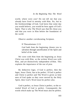world, where were you? Do not tell me that you already have lived in eternity with Him. No, but in the foreknowledge of God, God knew that some day you would believe, you would be born again of God's Spirit. That is why The Word says that He chose you and that you were in Him before the foundation of the world.

Observe another corroborating Scripture.

II Thessalonians 2:13:

God hath from the beginning chosen you to salvation through sanctification of the Spirit and belief of the truth.

We were with Him from the beginning as Jesus Christ was with Him, as the written Word was with Him, and yet distinctively independent of Him. This explains the importance of the use of *pros.* 

By deductive logic, if God is perfect, then the *logos,* Jesus Christ, has to be perfect. If God is perfect and Christ is perfect and The Word is given as holy men of God spake as they were moved by the Holy Spirit, then God's Word must be perfect also.

God is perfect, so Jesus Christ is perfect, so the revealed Word of God is perfect. Consequently the words which make up The Word must also be perfect.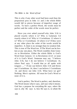This is why if any other word had been used than the preposition pros in John 1:1 and 2 the whole Bible would fall to pieces because of imperfect usage of words. To have a perfect Word, the words must be perfect and the order of the words must be perfect.

Have you ever asked yourself why John 3:16 is placed exactly where it is? Why is Galatians 5:4 exactly where it is? Why is I Corinthians 12 where it is? Why is I Corinthians 14 where it is? If they were at any other place the order of the words would be imperfect. A chain is no stronger than its weakest link. This is true of The Word too. If The Word can be broken at any one place, The Word crumbles from Genesis to Revelation. Either the whole Bible is God's Word from Genesis 1:1 to Revelation 22:21 or none of it is God's Word. Someone may say, "I believe John 3:16, but I do not believe I Corinthians 14, where Paul says, 'I would that ye all spake with tongues ...."' If one can believe John 3:16 and throw out I Corinthians 14, then I can believe I Corinthians 14, and throw out John 3:16. What have we got? Nothing. Men's opinion. All must be God's Word or none of it is.

God is perfect, The Word is perfect, and, therefore, The Word means what it says, and says what it means. God has a purpose for *everything* He says, *where* He says it, *why* He says it, *how* He says it, *to whom* He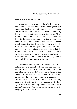says it, and *when* He says it.

At one point I believed that the Word of God was full of myths. At one point I could have quoted you numerous theologians, but I could not have quoted the accuracy of God's Word. There was a time in my life when I did not even believe the words "Holy Bible." I did not believe in the miracles, I did not believe in the second coming. I was just a rank unbeliever. I learned my unbelief in the schools I attended which taught that the Bible is full of errors, that the Word of God is full of myths, that it has a lot of forgeries in it. If a minister does not believe that the Bible is God's Word and if he thinks that it is full of myths and forgeries, what would be the man's actions if he followed what he believes? He would get out of the pulpit if he were honest with himself.

I have very little respect for those who stand in the pulpits or stand behind podiums and declare, "This verse is all right, but that one is an interpolation, and that other one is a myth." Men want to teach us that the book of Genesis had four or five different writers in the first few chapters. That is a presumptuous teaching when the Word of God declares that holy men of God spake as they were moved by the Holy Spirit. Which are you going to believe - God's Word or men's opinions? We should be concerned about the integrity of God's Word.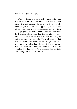*The Bible is the Word of God* 

We have failed to walk in deliverance in this our day and time because The Word is not real, it is not alive, it is not dynamic to or in us. Consequently most people are spiritual cripples, spiritual hitchhikers. They ride along on somebody else's beliefs. Many people today would much rather read and study the literature of the hour than the literature of eternity. Why? Because the word of man has had preeminence over the wonderful Word of God. If what man says contradicts what The Word says, they stick to man's word rather than The Word. If we want deliverance, if we want to tap the resources for the more abundant life, then God's Word demands that we study and live by this matchless Word.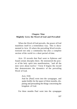## **Chapter Nine Mightily Grew the Word of God and Prevailed**

When the Word of God prevails, the power of God manifests itself in a tremendous way. This is documented in Acts 19 where the prevailing Word revolutionized not only a community but also a complete section of the world in a short period of time.

Acts 19 records that Paul went to Ephesus and found certain disciples there. He ministered the power of the holy spirit into manifestation, "and all the men were about twelve." Verse 8 begins the record that demonstrates the dynamics of the prevailing Word of God.

Acts  $19.8$ 

And he [Paul] went into the synagogue, and spake boldly for the space of three months, disputing and persuading the things concerning the kingdom of God.

For three months Paul went into the synagogue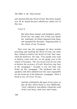and showed them the Word of God. But three months was all he stayed because unbelievers spoke evil of that way.

Verse 9,

But when divers [many] were hardened, and believed not, but spake evil of that way before the multitude, he [Paul] departed from them, and separated the disciples, disputing daily in the school of one Tyrannus.

Paul went into the synagogue for three months preaching and teaching the Word of God; but when they refused to believe the Word of God, Paul separated the believers. He said, "You people who want to believe come with me; we are going over to the school of Tyrannus. The rest of you who do not want to believe the accuracy of God's Word just stay here at the synagogue." Actually it was not Paul who broke up this synagogue. The hardened and evilspeakers with their unbelief were the ones responsible for the break-up of the Ephesian synagogue. What a break it was, for verse 10 says,

> And this continued by the space of two years; so that all they which dwelt in Asia [Biblically, "Asia" referred to Asia Minor.] heard the word of the Lord Jesus, both Jews and Greeks.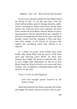In two years and three months all Asia Minor heard the Word of God. In our day and time, with our multi-million dollars spent for foreign missions, publications, newspapers, radios, televisions and all other media, this event has never been repeated. We have never reached all Asia Minor with the Word of God in one generation. But the Apostle Paul and a handful of believers accomplished the feat in two years and three months. Either God has changed or Paul and these men who studied at the school of Tyrannus had tapped into something which they utilized to its capacity.

As a matter of record, each of these men acted boldly after being filled with the power of the holy spirit and knowing God's Word. As these men learned, they taught The Word to someone else, who in turn, taught other individuals so that all of Asia Minor heard the Word of God in two years and three months. This evangelistic campaign began under the ministry of one man.

Verse 11 tells us what happened.

And God wrought special miracles by the hands of Paul.

When Paul believed The Word, preached The Word, and taught The Word, special miracles came to pass.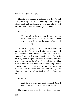This stir which began in Ephesus with the Word of God prevailing had a reverberating effect. People whom Paul had not taught tried to get into the act too, but their actions boomeranged on them.

Verse 13,

Then certain of the vagabond Jews, exorcists, took upon them [themselves] to call over them which had evil spirits the name of the Lord Jesus, saying

In Acts 19:13 people with evil spirits tried to cast out evil spirits. This verse will give one trouble until he understands that a more powerful devil spirit has command over the less potent devil spirits. Just as in the army when a captain tells the private to jump, the private does not ask how high; he simply jumps. That is what these various devil spirits were doing. These exorcists were endeavoring to cast out devil spirits by other devil spirits in the name of Jesus saying, "We adjure you by Jesus whom Paul preaches. Come on out."

Verse 15,

And the evil spirit answered and said, Jesus I know, and Paul I know; but who are ye?

These sons of Sceva, chief of the priests, were cast-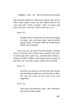ing out devil spirits by other devil spirits. But one of these devil spirits came out and talked back to the sons and said, "Wait a minute. Jesus we know and Paul we know, but who in the world are you?"

Verse 16,

And the man in whom the evil spirit was leaped on them, and overcame them, and prevailed against them, so that they fled out of that house naked and wounded.

Can't you just see those frenzied fellows running away? Once the devil spirits were aroused, the man, in whom the devil spirit was, attacked these fellows, jerking off their clothes and beating them around so that they ran out of the house naked and wounded.

Verse 17,

And this was known to all the Jews and Greeks also dwelling at Ephesus; and fear fell on them all, and the name of the Lord Jesus was magnified.

Verse 18,

And many that believed came, and confessed, and shewed their deeds.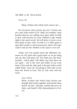*The Bible is the Word of God* 

Verse 19,

Many of them also which used curious arts ....

Do you know what curious arts are? Curious arts are a part of the entire E.S.P. field; for example, ouija boards which we are selling every place today for kids to play with because we want children to get started right in the spirit world. We tell them it is just a nice little game to play with. In truth it is a little game to open their minds to devil-possession which will later control and use the children at the spirit's own will.

Today very few people know the difference between an evil spirit and a good spirit so we go along and say that God gives all. We make just one basic mistake - which god? The Bible says that there are two gods - one is the God and Father of our Lord Jesus Christ and the other god is the god of this world called Satan. Later on I am going to show this to you from the Word of God, line by line arid word by word.

Acts 19:19:

Many of them also which used curious arts brought their books together and burned them before all *men:* and they counted the price of them, and found *it* fifty thousand *pieces* of silver.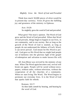Think how much 50,000 pieces of silver would be in present-day currency. Verse 20 gives the fulfilling joy and greatness of the ministry in Ephesus.

> Acts  $19.20$ So mightily grew the word of God and prevailed.

What grew? Not man's opinion. The Word of God grew and the Word of God prevailed. When that Word of God prevails, things begin to happen in our lives, in our community, and in our society. But as long as the growth of the Word of God is stunted, as long as people do not understand the fullness of God's Word, it can never prevail. God meant for His Word to prevail. God gave us His Word that we might lead people out of darkness into the glorious light of the gospel of redemption and salvation to make known His will.

All Asia Minor was revived by the ministry of one man. When The Word again becomes real, revival will break out again. People will be saved without newspapers, without radio, without television, without the cooperation of all the churches of a community. When we start living The Word, The Word begins to permeate our everyday lives. It is the Word of God that sparks faith for rebirth.

> Romans 10:17: So then faith *cometh* by hearing, and hearing by the word of God.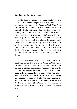Faith does not come by hearing what *Look, Life, Time,* or the *Reader's Digest* has to say. Faith comes by hearing one thing - the Word of God. The Word of God builds believing so that a man can be born again by God's Spirit and filled with the power of the holy spirit. The Word of God is faithful. What He has promised He is able to perform. His Word is the same yesterday, today and forever. Believe that Word, speak that Word, and it produces the same results today that it produced at any time in the history of civilization since that Word was given. The Bible says that we are to abide in The Word and that we are to let this Word abide in us. To the end that we abide in The Word, this Word takes the Master's place in our lives.

I have never seen a man, woman, boy or girl whose soul was not thrilled when this Word of God started to unfold to them. Why? Because the Word of God reveals mysteries, as it says in Romans 16:25 and 26. The Word makes us wise unto salvation as II Timothy 3:15 tells us. According to Acts 17:11 we are to search the Word of God for truth. We do not search any secular sources for truth. We must search the Word of God because the Word of God is the Will of God. Once we know His Will and let it prevail in our lives, then we wifi see the power of God in manifestation.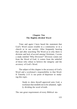## **Chapter Ten The Rightly-divided Word**

Time and again I have heard the statement that God's Word causes trouble in a community or in a church or in our society. After frequently hearing that and after searching The Word as to why there is division and lack of accord among Christians, I wrote a study entitled "Why Division?" Division comes not from the Word of God; it comes from the unbelief of those who refuse to believe the integrity and the accuracy of God's Word.

The subject of this chapter is the accuracy of God's Word and a workman's responsibility to that Word. II Timothy 2:15 is our point of departure in studying this topic.

> Study to shew thyself approved unto God, a workman that needeth not to be ashamed, rightly dividing the word of truth.

The one great requirement of every Biblical stu-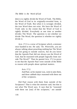dent is to rightly divide the Word of Truth. The Bible, the Word of God in its originally-revealed form, is the Word of Truth. But when it is wrongly divided, the true Word does not exist. We have the Word of Truth only to the extent that the Word of God is rightly divided. Everybody at one time or another divides The Word. The question is not whether we divide The Word; the question is whether we rightly divide it.

Acts 17:2 is a verse of Scripture which a minister once handed to me. He said, "Dr. Wierwille, you are always talking about preaching nothing but The Word and not going to outside sources, but do you know that the Apostle Paul did not always use the Word of God, that he reasoned with people logically from outside The Word?" Then he quoted Acts 17:2 to prove to me that the Apostle Paul went outside of the Bible to reason with people about spiritual matters.

Acts  $17.2$ 

And Paul, as his manner was, went in unto them, and three sabbath days reasoned with them out of the scriptures.

Did Paul reason with them from outside of the Scriptures? That is what the minister said, but that is not what The Word says. It says that he "reasoned with them out [out] of the scriptures," not *outside*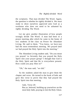the scriptures. That man divided The Word. Again, the question is whether he rightly divided it. We must study to show ourselves approved unto God as a workman who does not need to be ashamed by *rightly* dividing The Word.

Let me give another illustration of how people wrongly divide The Word. A man had been in a prayer meeting after which he came to the home of two students of the class on Power for Abundant Living. He said to them, "You know, we have just had the most tremendous meeting. We prayed until we had prayed the Holy Spirit into the meeting."

The Abundant Living student said, "Do you mean you prayed 'so fervently that you prayed the Holy Spirit into your prayer group? I thought that God is the Holy Spirit and that He is everywhere present. How could you pray Him in?"

"Oh," the man said, "we did."

So the students asked the man to give them the chapter and verse. He turned to the book of Jude and gave this verse to prove that they had prayed the Holy Spirit into that meeting.

> Jude, Verse 20: But ye, beloved, building up yourselves on the most holy faith, praying in [in] the Holy Ghost.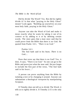Did he divide The Word? Yes. But did he rightly divide it? Is that what "praying in the Holy Ghost" means? Look again. "Building up yourselves on your most holy faith, praying in the Holy Ghost."

Anyone can take the Word of God and make it mean exactly what he wants by taking it out of its context or by adding to it or by deleting certain words. The story goes that a man once said that he could prove from the Bible that there is no God. He quoted from Psalm 14:1, *"There is* no God."

> Psalms  $14 \cdot 1$ The fool hath said in his heart, *There is* no God....

Does that verse say that there is no God? Yes, it does. It says, "There is no God." So one can go to the Bible and prove just what the man said. He just forgot to include the first part of the verse, "The fool hath said in his heart..."

A person can prove anything from the Bible by isolating a text or by changing it around. Anyone can substantiate a theological viewpoint by manipulating Scripture.

II Timothy does not tell us to divide The Word; it tells us to rightly divide it. II Timothy 2:15 is the only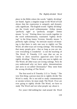place in the Bible where the words "rightly dividing" are found. Again a singular usage in the Word of God shows that the expression is uniquely and dynamically significant. The English words "rightly dividing" are the Greek word *orthotomounta. Orthos* means "perfectly right" or "perfectly straight" *Temno*  means "to cut." Putting these two words together in the word orthotomounta, translated "rightly dividing" in the King James Version, literally means "a perfectly right cutting." Its intricate nuance of meaning is that there is only one way to rightly cut The Word; all other ways are wrong cuttings. The teaching that many people give - that as long as you are sincere everything is wonderful - is not the teaching of The Word. II Timothy 2:15 says that we are to "study to show ourselves approved unto God by rightly dividing." There is only one way to rightly cut The Word; all other ways are wrong cuttings. Now do you understand why we have splits, denominations and sects in so-called Christianity? They stem from the wrong dividing of The Word.

The first word in II Timothy 2:15 is "Study." The very first thing a person must do to rightly divide The Word is study. He is not told to study commentaries or secular writers; he must study The Word. If we are ever going to rightly divide The Word, we have to study The Word and not what people say about it.

For years I did nothing but read around the Word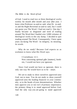of God. I used to read two or three theological works weekly for month after month and year after year. I knew what Professor so-and-so said, what Dr. so-andso and the Right Reverend so-and-so said, but I could not quote you The Word. I had not read it. One day I finally became so disgusted and tired of reading around The Word that I hauled over 3,000 volumes of theological works to the city dump. I decided to quit reading around The Word. Consequently, I have spent years stu-dying The Word - its integrity, its meaning, its words.

Why do we study? Because God expects us as workmen to know what His Word says.

I Corinthians 12:1:

Now concerning spiritual *gifts* [matters], brethren, I would not have you ignorant.

Since God would not have us ignorant, there is only one way He would have us to be - smart.

We are to study to show ourselves approved unto God, not to man. You do not study to show yourself approved unto the leading financier in your community, or to the heads of your denominations. Whether men approve you or not isn't of primary importance; the primary thing is to stand approved before God. And the only way you are going to stand approved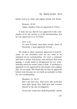before God is to study and rightly divide The Word.

Romans 16:10: Salute Apollos [who is] approved in Christ....

It does not say that he was approved in the community or by the society or in the denomination, but he was approved in or of Christ.

> Acts  $2.22$ Ye men of Israel, hear these words; Jesus of Nazareth, a man approved of God ....

We study to show ourselves approved of God because we are workmen who do not need to be ashamed of our workmanship. If I were a carpenter and built a house with joints and mortises that were gaping, I would stand in disapproval for my workmanship when the owner came to look. A workman is approved or not approved by the people who employ him. So we study The Word that we may be approved before God because we are held accountable to Him for our workmanship.

Matthew 12: 36,37:

But I say unto you, That every idle word that men shall speak, they shall give [an] account thereof in the day of judgment.

For by thy words thou shalt be justified, and by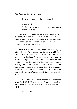*The Bible is the Word of God* 

thy words thou shalt be condemned.

Romans 14:12:

So then every one of us shall give account of himself to God.

The Word says and means that everyone shall give an account of himself. To have God's approval we must study The Word and study it in the right way. The right way is the right cutting of the Word of Truth to have the true Word.

Jesus Christ, God's only-begotten Son, rightly divided The Word. According to Luke 24:44 Jesus divided the Old Testament into the Law, the Prophets and the Psalms. "Psalms" means "writings" in Biblical usage. I had been taught to divide the Old Testament into the books of the Law, the books of History, the books of Poetry, the Major Prophets and the Minor Prophets. I put them into five categories whereas Jesus Christ put them into three. Who do you think was right? Jesus Christ rightly divided The Word.

Psalms 116:15 is another verse which is frequently wrongly divided. This is a verse of Scripture which we often hear at a funeral when a good man of God has died.

Psalms 116:15: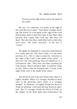Precious in the sight of the Lord *is* the death of his saints.

We say, "It is precious, it is good, in the sight of the Lord that he is dead." Talk about wrongly dividing The Word! It is not good in the sight of the Lord that Herman died or that John died or that Mary died because they cannot help God any after they are dead. The only time they could help God is when they were alive. The word "precious" in the text is "costly."

We speak of a diamond as a precious stone because it is costly and rare. The more costly it is, the more precious it is. This is what is meant by "precious in the sight of the Lord *is* the death of his saints." It does not cost God anything when an unbeliever or a God-rejector dies. They have not done anything for God anyway. But if a believer died, it would be costly to God. That is why the Psalmist said, "Costly in the sight of the Lord *is* the death of his saints."

The Word of God is the true Word only when it is rightly divided. When it is wrongly divided we have error at the particular place where it is wrongly divided. To illustrate, if I rightly divide the Word of Truth on salvation, I will have the true Word on salvation. But if I wrongly divide the Word of Truth on the subject of the Holy Spirit, then at that place I do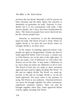not have the true Word. Naturally I will be sincere on both salvation and the Holy Spirit; but sincerity is absolutely no guarantee for truth. Sincerity is wonderful, but it is not synonymous with truth. I like sincere people, but I have also been hoodwinked by them. The insincere people have never deceived me, but the sincere people have.

Sincerity or insincerity is not the determining factor for truth. The Word of God is Truth. When we rightly divide it, we have the true Word; when we wrongly divide it, we have error.

In the matter of standing approved before God, people are again in disagreement. People say that we stand approved before God if we pray a certain way or if the flowers are on the altar at the right place. It does not make a bit of difference to God where the flowers are on the altar. It may make a difference to us, but it does not make any difference at all to God. The Word of God says we study to show ourselves approved unto God by rightly dividing The Word. To the end we rightly divide The Word, we stand approved; to the end we wrongly divide it, we do not stand approved. We must come to the position of using The Word as our authority. Christian believers can never be brought together On other extraneous, superficial, ritualistic matters. They can only be brought together when they stand approved before God by rightly dividing The Word.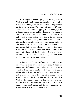An example of people trying to stand approved of God is a sadly ridiculous commentary on so-called Christians. Many years ago when I was doing research in the archives of the University of Chicago Divinity School, I came across a clipping from a newspaper on a denomination which had two factions. The cause of the rift was the question whether or not God originally had created Adam and Eve with or without navels. Incredible! One group said that Adam and Eve did not have navels while the other faction believed that God had given both Adam and Eve navels. The one group built a new church just across the street from the old one and called their new denomination the First Church of the Navelites. Christians bring disapproval to themselves when they become sidetracked on such irrelevant matters.

It does not make any difference to God whether one wears a long dress or a short one; it does not make any difference to Him whether I wear a tie or whether I do not. I could teach The Word just as effectively with a tie as without one. The greatness is not in what we wear or how we adorn ourselves, but whether we rightly divide The Word. This Word of God is the greatest thing in the whole world and rightly divided it gives us the true Word; it gives efficacy, power, exuberance and the more abundant life which Jesus Christ, made available.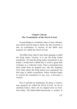## **Chapter Eleven The Translations of the Word of God**

In proceeding as a workman, there is basic information which must be kept in mind, the first of which is that no translation or version of the Bible may properly be called the Word of God.

The Bible from which I have been quoting is called the King James Version. It is not the King James translation. If I had the King James translation in my hands, I would have a Bible that is worth a great deal of money as a collector's item. Once a translation has been made from an original text, like the Stephens Text from which the King James was translated, the first copy is called a translation. When scholars begin to rework the translation in any way, it becomes a version.

Now I said that no translation, let alone a version, may properly be called the Word of God. As far as anybody knows, there are no original texts in existence today. The oldest dated manuscript is written in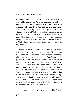Estrangelo Aramaic. There is a possibility that some of the older Estrangelo Aramaic manuscripts will predate 434 A.D. What students or scholars refer to as originals really date from 430 and later. These manuscripts are not originals - the originals are those which holy men of God wrote as they were moved by the Holy Spirit. At best we have copies of the originals. When I refer to the Word of God, I do not mean a copy or a translation or a version; I mean that Word of God which was originally given by revelation to holy men.

Since we have no originals and the oldest manuscripts that we have date back to the fifth century A.D., how can we get back to the authentic prophecy which was given when holy men of God spoke? To get the Word of God out of any translation or out of any version, we have to compare one word with another word and one verse with another verse. We have to study the context of all the verses. If it is the Word of God, then it cannot have a contradiction for God cannot contradict Himself. Error has to be either in the translation or in one's own understanding. When we get back to that original, God-breathed Word - which I am confident we can - then once again We will be able to say with all the 'authority of the prophets of old, "Thus saith the Lord."

Note carefully the following about The Word: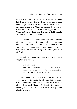(1) there are no original texts in existence today; (2) there were no chapter divisions in the original manuscripts; (3) there were no verse divisions in the original manuscripts. Chapters were first put into the Bible in 1250 A.D. Verses first appeared in the Geneva Bible in -1560 and then in the 1611 translation known as the King James.

God cannot be blamed for the error in the division of verses or chapters. Chapters and verses are good only for quick reference. But we must keep in mind that chapters and verses are all man-made and, therefore, devoid of authority in rightly dividing the Word of Truth.

Let us look at some examples of poor divisions in chapters and verses.

> Genesis 1:31: And God saw every thing that he had made, and, behold, *it was* very good. And the evening and the morning were the sixth day.

Then comes chapter 2 which begins with "thus." That first word immediately tells me that something is wrong because "thus" shows the result of what has already been said. Chapter 1 closed with "And the evening and the morning were the sixth day." And chapter 2 begins,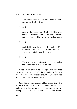Thus the heavens and the earth were finished, and all the host of them.

Verse 2,

And on the seventh day God ended his work which he had made; and he rested on the seventh day from all his work which he had made.

Verse 3,

And God blessed the seventh day, and sanctified it: because that in it he had rested from all his work which God created and made.

Verse 4,

These *are* the generations of the heavens and of the earth when they were created ....

Verse 4 is an entirely new thought. The first three verses of chapter 2 finish the thought of the first chapter. The second chapter should begin with verse four, "These *are* the generations .

John 2 is another example of bad chaptering. One of the reasons the story of Nicodemus has not been understood is that we have never read the verses preceding it as part of the context. John 2:23 should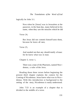logically be John 3:1.

Now when he [Jesus] was in Jerusalem at the passover, in the feast day, many believed in his name, when they saw the miracles which he did

Verse 24,

But Jesus did not commit himself unto them, because he knew all *men,* 

Verse 25,

And needed not that any should testify of man: for he knew what was in man.

Chapter 3, verse 1,

There was a man of the Pharisees, named Nico $\neg$ demus, a ruler of the Jews.

Reading those three verses before beginning the present third chapter explains the context for the Coming of Nicodemus. Jesus knew what was in Nico $\neg$ demus. With this introduction or background to the setting of the story, Nicodemus is easily understood.

John 7:53 is an example of a chapter that is divided in the middle of a verse.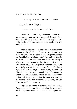And every man went unto his own house.

Chapter 8, verse I begins,

Jesus went unto the mount of Olives.

It should read, "And every man went unto his own house. Jesus went unto the mount of Olives." Then there should be a chapter division to begin, "And early in the next morning he came again into the temple ..."

If chaptering was not in the originals, what about chapter headings? Chapter headings are also not part of the original God-breathed Word. Chapter headings are found below the chapter markings and are usually in italics. These are what man has added. An example of an erroneous chapter heading in some King James editions is Isaiah 29. Chapter 29 heading says, "The heavy judgment of God upon *Jerusalem. "* The heading on chapter 30 says, "God's mercy toward His Church." The text says in Isaiah 1:1, "The vision of Isaiah the son of Amoz, which he saw concerning Judah and Jerusalem." Either the man who put "To the church" at the top of chapter 30 is wrong or The Word in Isaiah 1:1 is wrong.

Paragraphs and center references are all man-made. Paragraphs are interpretations of what the translators think. They indicate when one subject is complete and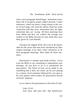when a new paragraph should begin. Sometimes translators fail to recognize proper subject division. Center references, which run down a long column in the center of each page, tell what the editors think has some connection with that verse. Sometimes they are right, sometimes they are' wrong. All these markings have been added and they can confuse the average new student in the Bible because he may think they have been given by God Himself.

God gave the original Word. He is not at all responsible for the errors that men have introduced by their chapter headings or by their center references or by their paragraph markings. Man made all those mistakes.

Punctuation is another man-made trickery. If you want the Bible to say something to substantiate your theology, all you have to do is to manipulate the punctuation. The Word of God can be made to say something that it does not really say by just putting in a comma. Each translator followed his own plan or his own pattern which makes all punctuation devoid of divine authority.

Let us observe the punctuation in the book of Luke.

Luke  $23.43$ And Jesus said unto him [the malefactor],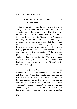Verily I say unto thee, To day shalt thou be with me in paradise.

Some translations have the comma after the word "today" so that is read, "Jesus said unto him, Verily I say unto thee To day, thou shalt..." The King James puts the comma before "today" while other translations put the comma after "today." Why? Because one group teaches that the moment one dies, he goes to heaven, while other groups teach that the moment one dies, he does not necessarily go to heaven for there is a period before going to heaven. If there is a waiting period between death and heaven then He could not say to that malefactor, "Today you are going to be with me in heaven," for the malefactor would have had to wait a duration. On the other hand others say man goes to heaven immediately after death so that comma before the word "today" fits in with their theology.

If a man is going to heaven today, heaven must be available. Some teach that heaven is available. If they had studied The Word, they would know that heaven is not available. However, this verse talks about paradise and paradise is not heaven. Heaven is heaven and paradise is paradise. When the Word of God says "paradise," it means "paradise." Paradise is present in Genesis chapters 1 and 2, at the end of which paradise is no longer accessible. It is not again available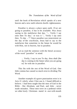until the book of Revelation which speaks of a new heaven and a new earth wherein dwells righteousness.

Paradise is always a place upon earth. If we are going to paradise, it has to be available. Was Jesus saying to the malefactor that day, "... Verily I say unto thee To day," or was it ".. Verily I say unto thee, To day ..."? Since paradise was nonexistent on the day of the crucifixion, Jesus had to say to the malefactor that sometime in the future he would be with Him, not in heaven, but in paradise.

Let us read the sentence with the literal accuracy of the word "paradise" in mind.

> ... Verily, I say to you To day, thou shalt [the day is coming in the future when you are going to] be with me in paradise.

This fits with the rest of the Word of God. One little comma has caused so much error in dividing The Word.

Another example of a grave punctuation error is in Acts 21 which, when I first saw it, I found difficult to believe. I had been taught that the men of God in the Bible - like Abraham, and Paul, and John - never made mistakes. These men were on a pedestal while we other lowly Christians stared in awe with mouth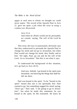agape at such men to whom we thought we could never aspire. The record of the Apostle Paul in Acts 21 gave me quite a jolt when the error in using a comma was discovered.

> Acts 21:4, And when he [Paul] would not be persuaded, we ceased, saying, The will of the Lord be done.

This verse, the way it is punctuated, obviously says that they endeavored to persuade the Apostle Paul to change his mind and not go to Jerusalem; but when Paul would not change his mind, they finally said to him "All right, Paul, go out and do the will of the Lord. Go to Jerusalem." But this is not what it says.

To understand the background of this situation, let's go back to Acts 20:22.

> And now, behold, I go bound in the spirit unto Jerusalem, not knowing the things that shall befall me there.

Paul was bound in the spirit. To be "bound in the spirit" means that one is not spiritually free. Paul wanted to go, but something nagged his mind saying, "Don't go." Paul said, "I am going to go to Jerusalem"; but when he made this statement, he was bound in the spirit, he felt restrained. He knew he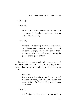should not go.

Verse 23,

Save that the Holy Ghost witnesseth in every city, saying that bonds and afflictions abide me [if I go to Jerusalem].

Verse 24,

But none of these things move me, neither count I my life dear unto myself, so that I might finish my course with joy, and the ministry, which I have received of the Lord Jesus, to testify the gospel of the grace of God.

Doesn't that sound wonderful, sincere, devout? But what good was Paul's sincerity in going to Jerusalem when the spirit had already told him not to go there?

Acts 21:3,

Now when we had discovered Cyprus, we left it on the left hand, and sailed into Syria, and landed at Tyre: for there the ship was to unlade her burden.

Verse 4,

And finding disciples [there], we tarried there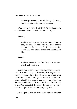seven days: who said to Paul through the Spirit, that he should not go up to Jerusalem.

What then was the will of God? For Paul *not* to go to Jerusalem. But who was determined to go?

Verse 8,

And the next *day* we that were of Paul's company departed, and came unto Caesarea: and we entered into the house of Philip the evangelist, which was *one* of the seven; and abode with him.

Verse 9,

And the same man had four daughters, virgins, which did prophesy.

Verse nine does not say what the virgins prophesied. 1 would bet you, however, that they did not prophesy about the price of coffee or about who would win the next ball game. What is the context talking about? It is about a man who wanted to go to Jerusalem while the will of the Lord was for him not to go. Paul persisted, however. In context we know what the topic of the virgins' prophecy was.

After a period of time there came another message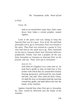to Paul.

Verse 10,

And as we tarried *there* many days, there came down from Judea a certain prophet, named Agabus.

Look at the pains God was taking to keep the Apostle Paul out of a mess. First of all, He told Paul personally not to go to Jerusalem; Paul was bound in the spirit. Then Paul was warned by a group in Tyre who told him by the spirit not to go. Paul continued on his trip to Caesarea where four Christian believers prophesied. Finally God sent a prophet all the way from Jerusalem to Caesarea to intercept Paul on his journey and say, "Paul, don't go to Jerusalem."

Acts  $21 \cdot 11$ 

And when he [Agabus] was come unto us, he took Paul's girdle [a strip of cloth four or five inches wide which they tie around their loosely flowing garments], and bound his own hands and feet, and said, Thus saith the Holy Ghost, So shall the Jews at Jerusalem bind the man that owneth this girdle, and shall deliver *him* into the hands of the Gentiles.

Agabus foretold that when Paul got to Jerusalem he, Paul, would be delivered into the hands of the **Gentiles**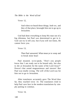Verse 12,

And when we heard these things, both we, and they of that place, besought him not to go up to Jerusalem.

God had done everything to keep His man out of a big dilemma, but Paul was determined to get in it. God can try to tell you; but if you will not listen, He cannot force you.

Verse 13,

Then Paul answered, What mean ye to weep and to break mine heart

Paul moaned, so-to-speak, "Don't you people know that I am ready not to be bound only, but also to die at Jerusalem for the name of the Lord Jesus?" Doesn't that sound magnanimous and sincere! But Paul was totally wrong. The will of the Lord was for him not to go to Jerusalem.

After translators accurately gave The Word thus far, they reached verse 14. The translators tried to help Paul save face in the modern translations by simply putting in commas.

Verse 14,

140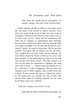And when he would not be persuaded, we ceased, saying, The will of the Lord be done.

If the commas are left in, there is error upon error for. the truth of the record is clearly obvious. Four times the word of the Lord to Paul was not to go to Jerusalem. If that was the Word of God, then it has to fit with verse 14 too. What did the translators do? They put in commas to substantiate their theology because they could not believe that the Apostle Paul ever made a mistake. Let me ask, did Paul go to Jerusalem? Surely, he went to Jerusalem. Did he get into trouble? He surely did; he almost lost his life there. This mighty man of God, under whose ministry all Asia Minor heard the Word of God in two years and three months, in the following two years won not one soul for the Lord Jesus Christ. The only record is in Acts 26:28 when he witnessed to Agrippa, the king who said to Paul, "... Almost thou persuadest me to be a Christian." If the evangelists who use this text realized what it really implies, they would never use it again. In the context the quote is about the ministry of a man who was outside the will of God. The nearest Paul came to winning anybody for the Lord in all those years was "almost."

Take the commas out of Acts 21:14.

And when he [Paul] would not be persuaded, we